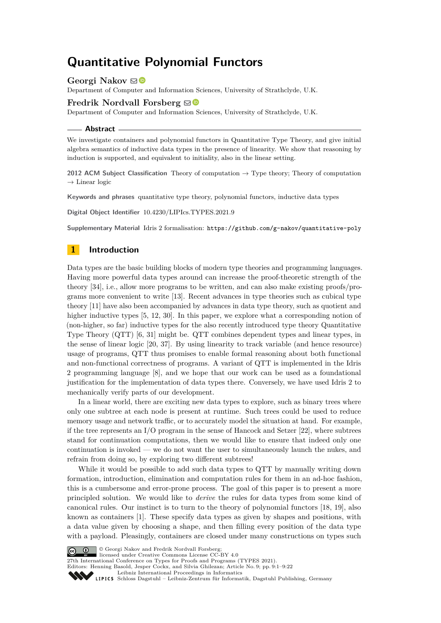# **Quantitative Polynomial Functors**

**Georgi Nakov** ⊠<sup>■</sup>

Department of Computer and Information Sciences, University of Strathclyde, U.K.

# **Fredrik Nordvall Forsberg**  $\boxtimes$

Department of Computer and Information Sciences, University of Strathclyde, U.K.

**Abstract**

We investigate containers and polynomial functors in Quantitative Type Theory, and give initial algebra semantics of inductive data types in the presence of linearity. We show that reasoning by induction is supported, and equivalent to initiality, also in the linear setting.

**2012 ACM Subject Classification** Theory of computation → Type theory; Theory of computation  $\rightarrow$  Linear logic

**Keywords and phrases** quantitative type theory, polynomial functors, inductive data types

**Digital Object Identifier** [10.4230/LIPIcs.TYPES.2021.9](https://doi.org/10.4230/LIPIcs.TYPES.2021.9)

**Supplementary Material** Idris 2 formalisation: <https://github.com/g-nakov/quantitative-poly>

# **1 Introduction**

Data types are the basic building blocks of modern type theories and programming languages. Having more powerful data types around can increase the proof-theoretic strength of the theory [\[34\]](#page-21-0), i.e., allow more programs to be written, and can also make existing proofs/programs more convenient to write [\[13\]](#page-20-0). Recent advances in type theories such as cubical type theory [\[11\]](#page-20-1) have also been accompanied by advances in data type theory, such as quotient and higher inductive types  $[5, 12, 30]$  $[5, 12, 30]$  $[5, 12, 30]$  $[5, 12, 30]$  $[5, 12, 30]$ . In this paper, we explore what a corresponding notion of (non-higher, so far) inductive types for the also recently introduced type theory Quantitative Type Theory (QTT) [\[6,](#page-19-1) [31\]](#page-21-2) might be. QTT combines dependent types and linear types, in the sense of linear logic [\[20,](#page-20-3) [37\]](#page-21-3). By using linearity to track variable (and hence resource) usage of programs, QTT thus promises to enable formal reasoning about both functional and non-functional correctness of programs. A variant of QTT is implemented in the Idris 2 programming language [\[8\]](#page-19-2), and we hope that our work can be used as a foundational justification for the implementation of data types there. Conversely, we have used Idris 2 to mechanically verify parts of our development.

In a linear world, there are exciting new data types to explore, such as binary trees where only one subtree at each node is present at runtime. Such trees could be used to reduce memory usage and network traffic, or to accurately model the situation at hand. For example, if the tree represents an  $I/O$  program in the sense of Hancock and Setzer [\[22\]](#page-20-4), where subtrees stand for continuation computations, then we would like to ensure that indeed only one continuation is invoked — we do not want the user to simultaneously launch the nukes, and refrain from doing so, by exploring two different subtrees!

While it would be possible to add such data types to QTT by manually writing down formation, introduction, elimination and computation rules for them in an ad-hoc fashion, this is a cumbersome and error-prone process. The goal of this paper is to present a more principled solution. We would like to *derive* the rules for data types from some kind of canonical rules. Our instinct is to turn to the theory of polynomial functors [\[18,](#page-20-5) [19\]](#page-20-6), also known as containers [\[1\]](#page-19-3). These specify data types as given by shapes and positions, with a data value given by choosing a shape, and then filling every position of the data type with a payload. Pleasingly, containers are closed under many constructions on types such



G  $\boxed{\odot}$   $\boxed{\odot}$  Georgi Nakov and Fredrik Nordvall Forsberg

licensed under Creative Commons License CC-BY 4.0

27th International Conference on Types for Proofs and Programs (TYPES 2021). Editors: Henning Basold, Jesper Cockx, and Silvia Ghilezan; Article No. 9; pp. 9:1–9:22

[Leibniz International Proceedings in Informatics](https://www.dagstuhl.de/lipics/)

[Schloss Dagstuhl – Leibniz-Zentrum für Informatik, Dagstuhl Publishing, Germany](https://www.dagstuhl.de)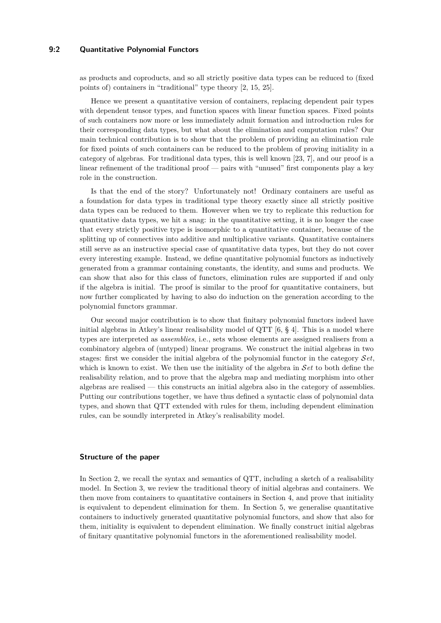### **9:2 Quantitative Polynomial Functors**

as products and coproducts, and so all strictly positive data types can be reduced to (fixed points of) containers in "traditional" type theory [\[2,](#page-19-4) [15,](#page-20-7) [25\]](#page-21-4).

Hence we present a quantitative version of containers, replacing dependent pair types with dependent tensor types, and function spaces with linear function spaces. Fixed points of such containers now more or less immediately admit formation and introduction rules for their corresponding data types, but what about the elimination and computation rules? Our main technical contribution is to show that the problem of providing an elimination rule for fixed points of such containers can be reduced to the problem of proving initiality in a category of algebras. For traditional data types, this is well known [\[23,](#page-20-8) [7\]](#page-19-5), and our proof is a linear refinement of the traditional proof — pairs with "unused" first components play a key role in the construction.

Is that the end of the story? Unfortunately not! Ordinary containers are useful as a foundation for data types in traditional type theory exactly since all strictly positive data types can be reduced to them. However when we try to replicate this reduction for quantitative data types, we hit a snag: in the quantitative setting, it is no longer the case that every strictly positive type is isomorphic to a quantitative container, because of the splitting up of connectives into additive and multiplicative variants. Quantitative containers still serve as an instructive special case of quantitative data types, but they do not cover every interesting example. Instead, we define quantitative polynomial functors as inductively generated from a grammar containing constants, the identity, and sums and products. We can show that also for this class of functors, elimination rules are supported if and only if the algebra is initial. The proof is similar to the proof for quantitative containers, but now further complicated by having to also do induction on the generation according to the polynomial functors grammar.

Our second major contribution is to show that finitary polynomial functors indeed have initial algebras in Atkey's linear realisability model of QTT  $[6, § 4]$  $[6, § 4]$ . This is a model where types are interpreted as *assemblies*, i.e., sets whose elements are assigned realisers from a combinatory algebra of (untyped) linear programs. We construct the initial algebras in two stages: first we consider the initial algebra of the polynomial functor in the category S*et*, which is known to exist. We then use the initiality of the algebra in S*et* to both define the realisability relation, and to prove that the algebra map and mediating morphism into other algebras are realised — this constructs an initial algebra also in the category of assemblies. Putting our contributions together, we have thus defined a syntactic class of polynomial data types, and shown that QTT extended with rules for them, including dependent elimination rules, can be soundly interpreted in Atkey's realisability model.

### **Structure of the paper**

In Section [2,](#page-2-0) we recall the syntax and semantics of QTT, including a sketch of a realisability model. In Section [3,](#page-8-0) we review the traditional theory of initial algebras and containers. We then move from containers to quantitative containers in Section [4,](#page-10-0) and prove that initiality is equivalent to dependent elimination for them. In Section [5,](#page-13-0) we generalise quantitative containers to inductively generated quantitative polynomial functors, and show that also for them, initiality is equivalent to dependent elimination. We finally construct initial algebras of finitary quantitative polynomial functors in the aforementioned realisability model.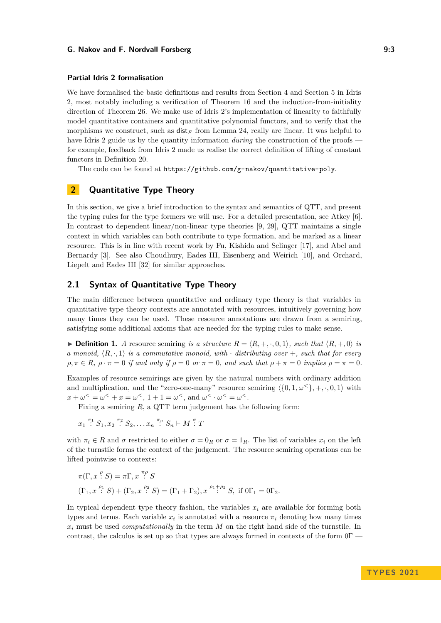### **Partial Idris 2 formalisation**

We have formalised the basic definitions and results from Section [4](#page-10-0) and Section [5](#page-13-0) in Idris 2, most notably including a verification of Theorem [16](#page-12-0) and the induction-from-initiality direction of Theorem [26.](#page-16-0) We make use of Idris 2's implementation of linearity to faithfully model quantitative containers and quantitative polynomial functors, and to verify that the morphisms we construct, such as  $\text{dist}_F$  from Lemma [24,](#page-16-1) really are linear. It was helpful to have Idris 2 guide us by the quantity information *during* the construction of the proofs for example, feedback from Idris 2 made us realise the correct definition of lifting of constant functors in Definition [20.](#page-14-0)

The code can be found at <https://github.com/g-nakov/quantitative-poly>.

# <span id="page-2-0"></span>**2 Quantitative Type Theory**

In this section, we give a brief introduction to the syntax and semantics of QTT, and present the typing rules for the type formers we will use. For a detailed presentation, see Atkey [\[6\]](#page-19-1). In contrast to dependent linear/non-linear type theories [\[9,](#page-20-9) [29\]](#page-21-5), QTT maintains a single context in which variables can both contribute to type formation, and be marked as a linear resource. This is in line with recent work by Fu, Kishida and Selinger [\[17\]](#page-20-10), and Abel and Bernardy [\[3\]](#page-19-6). See also Choudhury, Eades III, Eisenberg and Weirich [\[10\]](#page-20-11), and Orchard, Liepelt and Eades III [\[32\]](#page-21-6) for similar approaches.

# **2.1 Syntax of Quantitative Type Theory**

The main difference between quantitative and ordinary type theory is that variables in quantitative type theory contexts are annotated with resources, intuitively governing how many times they can be used. These resource annotations are drawn from a semiring, satisfying some additional axioms that are needed for the typing rules to make sense.

▶ **Definition 1.** *A* resource semiring *is a structure*  $R = \langle R, +, \cdot, 0, 1 \rangle$ *, such that*  $\langle R, +, 0 \rangle$  *is a* monoid,  $\langle R, \cdot, 1 \rangle$  *is a commutative monoid, with*  $\cdot$  *distributing over* +*, such that for every*  $\rho, \pi \in R$ ,  $\rho \cdot \pi = 0$  *if and only if*  $\rho = 0$  *or*  $\pi = 0$ *, and such that*  $\rho + \pi = 0$  *implies*  $\rho = \pi = 0$ *.* 

Examples of resource semirings are given by the natural numbers with ordinary addition and multiplication, and the "zero-one-many" resource semiring  $\langle 0, 1, \omega^{\langle} \rangle, +, \cdot, 0, 1 \rangle$  with  $x + \omega^{\le} = \omega^{\le} + x = \omega^{\le}$ ,  $1 + 1 = \omega^{\le}$ , and  $\omega^{\le} \cdot \omega^{\le} = \omega^{\le}$ .

Fixing a semiring *R*, a QTT term judgement has the following form:

$$
x_1 \stackrel{\pi_1}{\colon} S_1, x_2 \stackrel{\pi_2}{\colon} S_2, \dots x_n \stackrel{\pi_n}{\colon} S_n \vdash M \stackrel{\sigma}{\colon} T
$$

with  $\pi_i \in R$  and  $\sigma$  restricted to either  $\sigma = 0_R$  or  $\sigma = 1_R$ . The list of variables  $x_i$  on the left of the turnstile forms the context of the judgement. The resource semiring operations can be lifted pointwise to contexts:

$$
\pi(\Gamma, x \stackrel{\rho}{:} S) = \pi \Gamma, x \stackrel{\pi \rho}{:} S
$$
  

$$
(\Gamma_1, x \stackrel{\rho_1}{:} S) + (\Gamma_2, x \stackrel{\rho_2}{:} S) = (\Gamma_1 + \Gamma_2), x \stackrel{\rho_1 + \rho_2}{:} S, \text{ if } 0\Gamma_1 = 0\Gamma_2.
$$

In typical dependent type theory fashion, the variables  $x_i$  are available for forming both types and terms. Each variable  $x_i$  is annotated with a resource  $\pi_i$  denoting how many times *x<sup>i</sup>* must be used *computationally* in the term *M* on the right hand side of the turnstile. In contrast, the calculus is set up so that types are always formed in contexts of the form  $0\Gamma$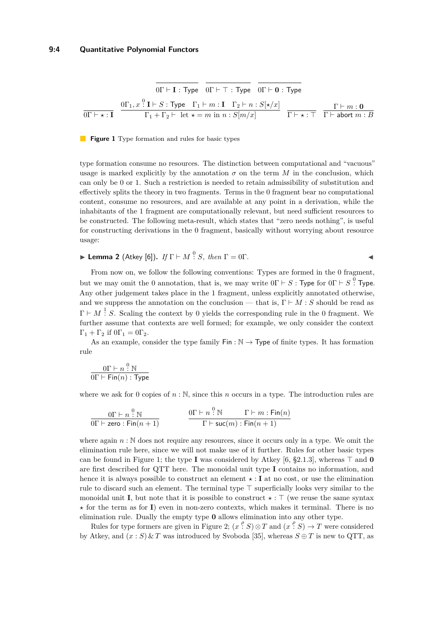<span id="page-3-0"></span>
$$
\overline{0\Gamma \vdash \mathbf{I} : \mathsf{Type}} \quad \overline{0\Gamma \vdash \top : \mathsf{Type}} \quad \overline{0\Gamma \vdash \mathbf{0} : \mathsf{Type}}
$$
\n
$$
\overline{0\Gamma \vdash \star : \mathbf{I}} \quad \overline{0\Gamma \vdash \star : \mathsf{Type} \quad \Gamma_1 \vdash m : \mathbf{I} \quad \Gamma_2 \vdash n : S[\star/x]} \quad \overline{\Gamma \vdash \star : \top} \quad \overline{\Gamma \vdash m : \mathbf{0}}
$$
\n
$$
\overline{0\Gamma \vdash \star : \mathbf{I}} \quad \overline{\Gamma_1 + \Gamma_2 \vdash \text{ let } \star = m \text{ in } n : S[m/x]} \quad \overline{\Gamma \vdash \star : \top} \quad \overline{\Gamma \vdash \text{abort } m : B}
$$

#### **Figure 1** Type formation and rules for basic types

type formation consume no resources. The distinction between computational and "vacuous" usage is marked explicitly by the annotation  $\sigma$  on the term  $M$  in the conclusion, which can only be 0 or 1. Such a restriction is needed to retain admissibility of substitution and effectively splits the theory in two fragments. Terms in the 0 fragment bear no computational content, consume no resources, and are available at any point in a derivation, while the inhabitants of the 1 fragment are computationally relevant, but need sufficient resources to be constructed. The following meta-result, which states that "zero needs nothing", is useful for constructing derivations in the 0 fragment, basically without worrying about resource usage:

**► Lemma 2** (Atkey [\[6\]](#page-19-1)). *If*  $\Gamma \vdash M$   $\stackrel{0}{\colon} S$ , then  $\Gamma = 0\Gamma$ .

From now on, we follow the following conventions: Types are formed in the 0 fragment, but we may omit the 0 annotation, that is, we may write  $0\Gamma \vdash S$ : Type for  $0\Gamma \vdash S$ <sup>0</sup>. Type. Any other judgement takes place in the 1 fragment, unless explicitly annotated otherwise, and we suppress the annotation on the conclusion — that is,  $\Gamma \vdash M : S$  should be read as  $\Gamma \vdash M \stackrel{1}{\colon} S$ . Scaling the context by 0 yields the corresponding rule in the 0 fragment. We further assume that contexts are well formed; for example, we only consider the context  $\Gamma_1 + \Gamma_2$  if  $0\Gamma_1 = 0\Gamma_2$ .

As an example, consider the type family  $\text{Fin}: \mathbb{N} \to \text{Type of finite types. It has formation}$ rule

$$
\frac{0\Gamma \vdash n \stackrel{0}{\colon} \mathbb{N}}{0\Gamma \vdash \mathsf{Fin}(n) : \mathsf{Type}}
$$

where we ask for 0 copies of  $n : \mathbb{N}$ , since this  $n$  occurs in a type. The introduction rules are

$$
\frac{0\Gamma\vdash n\stackrel{0}{:}\mathbb{N}}{0\Gamma\vdash {\sf zero}: \mathsf{Fin}(n+1)}\qquad\qquad \frac{0\Gamma\vdash n\stackrel{0}{:}\mathbb{N}\qquad \Gamma\vdash m:\mathsf{Fin}(n)}{\Gamma\vdash {\sf suc}(m):\mathsf{Fin}(n+1)}
$$

where again  $n : \mathbb{N}$  does not require any resources, since it occurs only in a type. We omit the elimination rule here, since we will not make use of it further. Rules for other basic types can be found in Figure [1;](#page-3-0) the type **I** was considered by Atkey [\[6,](#page-19-1) §2.1.3], whereas ⊤ and **0** are first described for QTT here. The monoidal unit type **I** contains no information, and hence it is always possible to construct an element  $\star : I$  at no cost, or use the elimination rule to discard such an element. The terminal type ⊤ superficially looks very similar to the monoidal unit **I**, but note that it is possible to construct *⋆* : ⊤ (we reuse the same syntax *⋆* for the term as for **I**) even in non-zero contexts, which makes it terminal. There is no elimination rule. Dually the empty type **0** allows elimination into any other type.

Rules for type formers are given in Figure [2;](#page-4-0)  $(x \stackrel{\rho}{\cdot} S) \otimes T$  and  $(x \stackrel{\rho}{\cdot} S) \rightarrow T$  were considered by Atkey, and  $(x : S) \& T$  was introduced by Svoboda [\[35\]](#page-21-7), whereas  $S \oplus T$  is new to QTT, as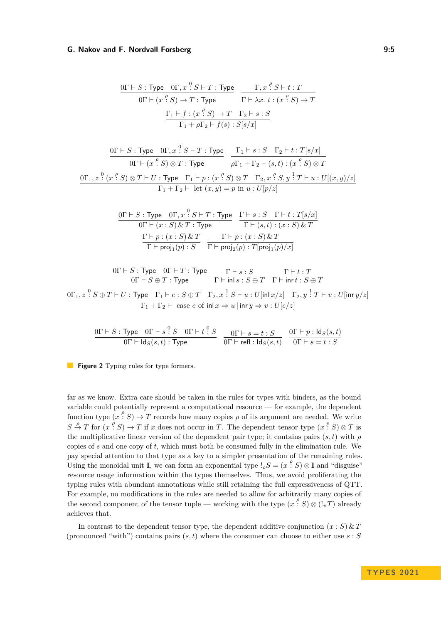<span id="page-4-0"></span>
$$
\frac{0\Gamma \vdash S : \text{Type} \quad 0\Gamma, x \stackrel{0}{\cdot} S \vdash T : \text{Type}}{0\Gamma \vdash (x \stackrel{\rho}{\cdot} S) \to T : \text{Type}} \quad \frac{\Gamma, x \stackrel{\rho}{\cdot} S \vdash t : T}{\Gamma \vdash \lambda x. \ t : (x \stackrel{\rho}{\cdot} S) \to T}
$$
\n
$$
\frac{\Gamma_1 \vdash f : (x \stackrel{\rho}{\cdot} S) \to T \quad \Gamma_2 \vdash s : S}{\Gamma_1 + \rho \Gamma_2 \vdash f(s) : S[s/x]}
$$

$$
\frac{0\Gamma \vdash S : \text{Type} \quad 0\Gamma, x \overset{0}{\cdot} S \vdash T : \text{Type}}{0\Gamma \vdash (x \overset{\rho}{\cdot} S) \otimes T : \text{Type}} \quad \frac{\Gamma_1 \vdash s : S \quad \Gamma_2 \vdash t : T[s/x]}{\rho \Gamma_1 + \Gamma_2 \vdash (s, t) : (x \overset{\rho}{\cdot} S) \otimes T}
$$
\n
$$
\frac{0\Gamma_1, z \overset{0}{\cdot} (x \overset{\rho}{\cdot} S) \otimes T \vdash U : \text{Type} \quad \Gamma_1 \vdash p : (x \overset{\rho}{\cdot} S) \otimes T \quad \Gamma_2, x \overset{\rho}{\cdot} S, y \overset{1}{\cdot} T \vdash u : U[(x, y)/z]}{\Gamma_1 + \Gamma_2 \vdash \text{ let } (x, y) = p \text{ in } u : U[p/z]}
$$

$$
\begin{array}{c} \text{\small{OT}} \vdash S : \text{Type} \quad \text{\small{OT}}, x \overset{0}{\text{:}} S \vdash T : \text{Type} \quad \begin{array}{l} \Gamma \vdash s : S \quad \Gamma \vdash t : T[s/x] \\ \text{\small{OT}} \vdash (x:S) \& T : \text{Type} \end{array} \\ \begin{array}{c} \Gamma \vdash p : (x:S) \& T \\ \hline \Gamma \vdash \mathsf{proj}_1(p) : S \end{array} \begin{array}{c} \Gamma \vdash p : (x:S) \& T \\ \text{\small{TP}} \vdash \mathsf{proj}_2(p) : T[\mathsf{proj}_1(p)/x] \end{array}
$$

$$
\frac{0\Gamma \vdash S : \text{Type} \quad 0\Gamma \vdash T : \text{Type}}{0\Gamma \vdash S \oplus T : \text{Type}} \quad \frac{\Gamma \vdash s : S}{\Gamma \vdash \text{inl} \, s : S \oplus T} \quad \frac{\Gamma \vdash t : T}{\Gamma \vdash \text{inr} \, t : S \oplus T}
$$
\n
$$
\frac{0\Gamma_1, z : S \oplus T \vdash U : \text{Type} \quad \Gamma_1 \vdash e : S \oplus T \quad \Gamma_2, x : S \vdash u : U[\text{inl} \, x/z] \quad \Gamma_2, y : T \vdash v : U[\text{inr} \, y/z]}{\Gamma_1 + \Gamma_2 \vdash \text{ case } e \text{ of } \text{inl} \, x \Rightarrow u \mid \text{inr} \, y \Rightarrow v : U[e/z]}
$$

$$
\frac{0\Gamma\vdash S:\text{Type}\quad 0\Gamma\vdash s\stackrel{0}{\colon}S\quad 0\Gamma\vdash t\stackrel{0}{\colon}S}{0\Gamma\vdash\text{Id}_S(s,t):\text{Type}}\quad\frac{0\Gamma\vdash s=t:S}{0\Gamma\vdash\text{refl}:\text{Id}_S(s,t)}\quad\frac{0\Gamma\vdash p:\text{Id}_S(s,t)}{0\Gamma\vdash s=t:S}
$$

**Figure 2** Typing rules for type formers.

far as we know. Extra care should be taken in the rules for types with binders, as the bound variable could potentially represent a computational resource — for example, the dependent function type  $(x \nvert^{\rho} S) \rightarrow T$  records how many copies  $\rho$  of its argument are needed. We write  $S \stackrel{\rho}{\to} T$  for  $(x \stackrel{\rho}{\cdot} S) \to T$  if *x* does not occur in *T*. The dependent tensor type  $(x \stackrel{\rho}{\cdot} S) \otimes T$  is the multiplicative linear version of the dependent pair type; it contains pairs  $(s, t)$  with  $\rho$ copies of *s* and one copy of *t*, which must both be consumed fully in the elimination rule. We pay special attention to that type as a key to a simpler presentation of the remaining rules. Using the monoidal unit **I**, we can form an exponential type  $\mathcal{L}_{\rho}S = (x \cdot \rho^{\rho} S) \otimes \mathbf{I}$  and "disguise" resource usage information within the types themselves. Thus, we avoid proliferating the typing rules with abundant annotations while still retaining the full expressiveness of QTT. For example, no modifications in the rules are needed to allow for arbitrarily many copies of the second component of the tensor tuple — working with the type  $(x^{\rho}, S) \otimes (l_{\pi}T)$  already achieves that.

In contrast to the dependent tensor type, the dependent additive conjunction  $(x : S) \& T$ (pronounced "with") contains pairs  $(s, t)$  where the consumer can choose to either use  $s : S$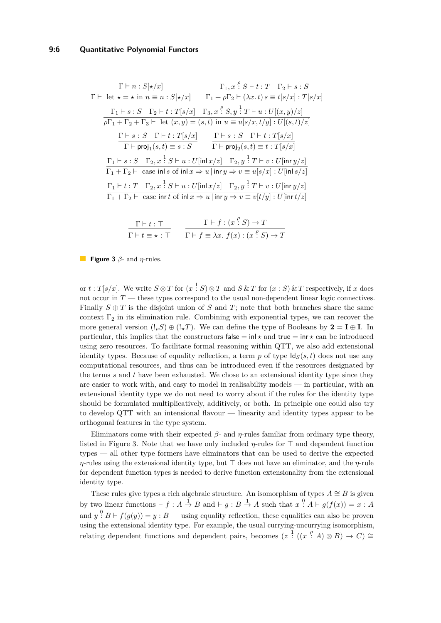### **9:6 Quantitative Polynomial Functors**

<span id="page-5-0"></span>
$$
\frac{\Gamma \vdash n : S[\star/x]}{\Gamma \vdash \text{ let } \star = \star \text{ in } n \equiv n : S[\star/x]} \qquad \frac{\Gamma_1, x \overset{\rho}{\cdot} S \vdash t : T \quad \Gamma_2 \vdash s : S}{\Gamma_1 + \rho \Gamma_2 \vdash (\lambda x. t) s \equiv t[s/x] : T[s/x]}
$$
\n
$$
\frac{\Gamma_1 \vdash s : S \quad \Gamma_2 \vdash t : T[s/x] \quad \Gamma_3, x \overset{\rho}{\cdot} S, y \overset{?}{\cdot} T \vdash u : U[(x, y)/z]}{\rho \Gamma_1 + \Gamma_2 + \Gamma_3 \vdash \text{ let } (x, y) = (s, t) \text{ in } u \equiv u[s/x, t/y] : U[(s, t)/z]}
$$
\n
$$
\frac{\Gamma \vdash s : S \quad \Gamma \vdash t : T[s/x]}{\Gamma \vdash \text{proj}_1(s, t) \equiv s : S} \qquad \frac{\Gamma \vdash s : S \quad \Gamma \vdash t : T[s/x]}{\Gamma \vdash \text{proj}_2(s, t) \equiv t : T[s/x]}
$$
\n
$$
\frac{\Gamma_1 \vdash s : S \quad \Gamma_2, x \overset{?}{\cdot} S \vdash u : U[\text{inl } x/z] \quad \Gamma_2, y \overset{?}{\cdot} T \vdash v : U[\text{inr } y/z]}{\Gamma_1 + \Gamma_2 \vdash \text{ case } \text{inl } s \text{ of } \text{inl } x \Rightarrow u \mid \text{inr } y \Rightarrow v \equiv u[s/x] : U[\text{inl } s/z]}
$$
\n
$$
\frac{\Gamma_1 \vdash t : T \quad \Gamma_2, x \overset{?}{\cdot} S \vdash u : U[\text{inl } x/z] \quad \Gamma_2, y \overset{?}{\cdot} T \vdash v : U[\text{inr } y/z]}{\Gamma_1 + \Gamma_2 \vdash \text{ case } \text{inr } t \text{ of } \text{inl } x \Rightarrow u \mid \text{inr } y \Rightarrow v \equiv v[t/y] : U[\text{inr } t/z]}
$$

$$
\frac{\Gamma \vdash t : \top}{\Gamma \vdash t \equiv \star : \top} \qquad \frac{\Gamma \vdash f : (x \stackrel{\rho}{\cdot} S) \to T}{\Gamma \vdash f \equiv \lambda x. \ f(x) : (x \stackrel{\rho}{\cdot} S) \to T}
$$

**Figure 3** *β*- and *η*-rules.

or  $t : T[s/x]$ . We write  $S \otimes T$  for  $(x \stackrel{1}{\cdot} S) \otimes T$  and  $S \& T$  for  $(x : S) \& T$  respectively, if *x* does not occur in *T* — these types correspond to the usual non-dependent linear logic connectives. Finally  $S \oplus T$  is the disjoint union of *S* and *T*; note that both branches share the same context  $\Gamma_2$  in its elimination rule. Combining with exponential types, we can recover the more general version  $(l_{\rho}S) \oplus (l_{\pi}T)$ . We can define the type of Booleans by  $2 = I \oplus I$ . In particular, this implies that the constructors false  $= \text{in} \star \star$  and true  $= \text{in} \star \star$  can be introduced using zero resources. To facilitate formal reasoning within QTT, we also add extensional identity types. Because of equality reflection, a term  $p$  of type  $\text{Id}_{S}(s, t)$  does not use any computational resources, and thus can be introduced even if the resources designated by the terms *s* and *t* have been exhausted. We chose to an extensional identity type since they are easier to work with, and easy to model in realisability models — in particular, with an extensional identity type we do not need to worry about if the rules for the identity type should be formulated multiplicatively, additively, or both. In principle one could also try to develop QTT with an intensional flavour — linearity and identity types appear to be orthogonal features in the type system.

Eliminators come with their expected *β*- and *η*-rules familiar from ordinary type theory, listed in Figure [3.](#page-5-0) Note that we have only included *η*-rules for ⊤ and dependent function types — all other type formers have eliminators that can be used to derive the expected *η*-rules using the extensional identity type, but ⊤ does not have an eliminator, and the *η*-rule for dependent function types is needed to derive function extensionality from the extensional identity type.

These rules give types a rich algebraic structure. An isomorphism of types  $A \cong B$  is given by two linear functions  $\vdash f : A \stackrel{1}{\to} B$  and  $\vdash g : B \stackrel{1}{\to} A$  such that  $x \stackrel{0}{\colon} A \vdash g(f(x)) = x : A$ and  $y$   $: B \vdash f(g(y)) = y : B$  — using equality reflection, these equalities can also be proven using the extensional identity type. For example, the usual currying-uncurrying isomorphism, relating dependent functions and dependent pairs, becomes  $(z \nvert (x \nvert A) \otimes B) \rightarrow C) \cong$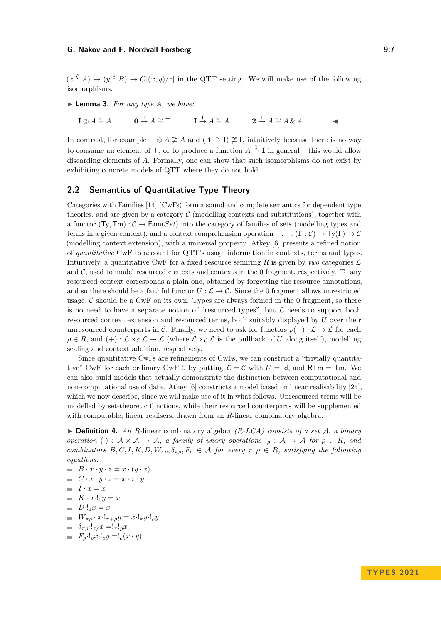$(x \nvert^{\rho} A) \rightarrow (y \nvert^{\frac{1}{2}} B) \rightarrow C[(x, y)/z]$  in the QTT setting. We will make use of the following isomorphisms.

<span id="page-6-0"></span>▶ **Lemma 3.** *For any type A, we have:*

 $\mathbf{I} \otimes A \cong A$  $\overrightarrow{A}$   $\cong$   $\overrightarrow{A}$   $\cong$   $\overrightarrow{A}$   $\cong$   $\overrightarrow{A}$   $\cong$   $\overrightarrow{A}$  &  $\overrightarrow{A}$   $\cong$   $\overrightarrow{A}$  &  $\overrightarrow{A}$ 

In contrast, for example  $\top \otimes A \not\cong A$  and  $(A \stackrel{1}{\to} I) \not\cong I$ , intuitively because there is no way to consume an element of  $\top$ , or to produce a function  $A \stackrel{1}{\rightarrow} \mathbf{I}$  in general – this would allow discarding elements of *A*. Formally, one can show that such isomorphisms do not exist by exhibiting concrete models of QTT where they do not hold.

# **2.2 Semantics of Quantitative Type Theory**

Categories with Families [\[14\]](#page-20-12) (CwFs) form a sound and complete semantics for dependent type theories, and are given by a category  $\mathcal C$  (modelling contexts and substitutions), together with a functor  $(\text{Ty}, \text{Tm}) : \mathcal{C} \to \text{Fam}(\mathcal{S}et)$  into the category of families of sets (modelling types and terms in a given context), and a context comprehension operation  $-.- : (\Gamma : \mathcal{C}) \to \mathsf{Ty}(\Gamma) \to \mathcal{C}$ (modelling context extension), with a universal property. Atkey [\[6\]](#page-19-1) presents a refined notion of *quantitative* CwF to account for QTT's usage information in contexts, terms and types. Intuitively, a quantitative CwF for a fixed resource semiring  $R$  is given by *two* categories  $\mathcal{L}$ and  $C$ , used to model resourced contexts and contexts in the 0 fragment, respectively. To any resourced context corresponds a plain one, obtained by forgetting the resource annotations, and so there should be a faithful functor  $U : \mathcal{L} \to \mathcal{C}$ . Since the 0 fragment allows unrestricted usage,  $\mathcal C$  should be a CwF on its own. Types are always formed in the 0 fragment, so there is no need to have a separate notion of "resourced types", but  $\mathcal L$  needs to support both resourced context extension and resourced terms, both suitably displayed by *U* over their unresourced counterparts in C. Finally, we need to ask for functors  $\rho(-): \mathcal{L} \to \mathcal{L}$  for each  $\rho \in R$ , and  $(+) : \mathcal{L} \times_{\mathcal{C}} \mathcal{L} \to \mathcal{L}$  (where  $\mathcal{L} \times_{\mathcal{C}} \mathcal{L}$  is the pullback of *U* along itself), modelling scaling and context addition, respectively.

Since quantitative CwFs are refinements of CwFs, we can construct a "trivially quantitative" CwF for each ordinary CwF C by putting  $\mathcal{L} = C$  with  $U = Id$ , and RTm = Tm. We can also build models that actually demonstrate the distinction between computational and non-computational use of data. Atkey [\[6\]](#page-19-1) constructs a model based on linear realisability [\[24\]](#page-20-13), which we now describe, since we will make use of it in what follows. Unresourced terms will be modelled by set-theoretic functions, while their resourced counterparts will be supplemented with computable, linear realisers, drawn from an *R*-linear combinatory algebra.

▶ **Definition 4.** *An R*-linear combinatory algebra *(R-LCA) consists of a set* A*, a binary operation* (·) :  $A \times A \rightarrow A$ *, a family of unary operations*  $!_p : A \rightarrow A$  *for*  $p \in R$ *, and combinators*  $B, C, I, K, D, W_{\pi \rho}, \delta_{\pi \rho}, F_{\rho} \in A$  *for every*  $\pi, \rho \in R$ *, satisfying the following equations:*

 $B \cdot x \cdot y \cdot z = x \cdot (y \cdot z)$  $C \cdot x \cdot y \cdot z = x \cdot z \cdot y$  $I \cdot x = x$  $K \cdot x \cdot \cdot \cdot \cdot 0y = x$  $D \cdot 1_1 x = x$  $W_{\pi \rho} \cdot x \cdot !_{\pi + \rho} y = x \cdot !_{\pi} y \cdot !_{\rho} y$  $\delta_{\pi \rho} \cdot !_{\pi \rho} x = !_{\pi} !_{\rho} x$ 

 $F_{\rho}$ ·!<sub>*ρ</sub>x*·!<sub>*ρ</sub>y* =!<sub>*ρ*</sub>(*x* · *y*)</sub></sub>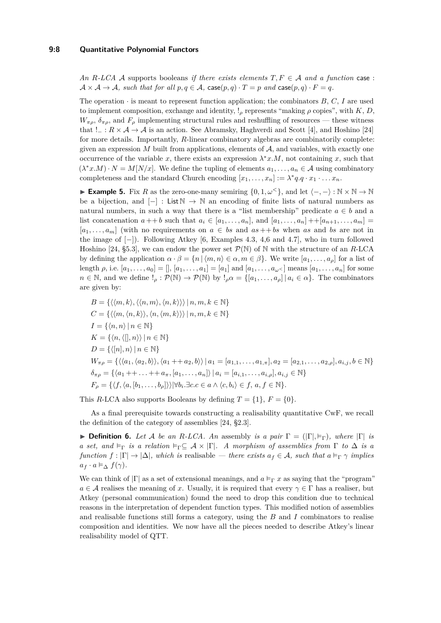*An*  $R$ *-LCA*  $\mathcal A$  supports booleans *if there exists elements*  $T, F \in \mathcal A$  *and a function* case:  $A \times A \rightarrow A$ *, such that for all*  $p, q \in A$ *, case* $(p, q) \cdot T = p$  *and* case $(p, q) \cdot F = q$ *.* 

The operation  $\cdot$  is meant to represent function application; the combinators  $B, C, I$  are used to implement composition, exchange and identity,  $\ell_{\rho}$  represents "making  $\rho$  copies", with *K*, *D*,  $W_{\pi\rho}$ ,  $\delta_{\pi\rho}$ , and  $F_{\rho}$  implementing structural rules and reshuffling of resources — these witness that  $! \_ : R \times A \to A$  is an action. See Abramsky, Haghverdi and Scott [\[4\]](#page-19-7), and Hoshino [\[24\]](#page-20-13) for more details. Importantly, *R*-linear combinatory algebras are combinatorily complete: given an expression  $M$  built from applications, elements of  $A$ , and variables, with exactly one occurrence of the variable *x*, there exists an expression  $\lambda^* x.M$ , not containing *x*, such that  $(\lambda^* x.M) \cdot N = M[N/x]$ . We define the tupling of elements  $a_1, \ldots, a_n \in \mathcal{A}$  using combinatory completeness and the standard Church encoding  $[x_1, \ldots, x_n] := \lambda^* q_i q \cdot x_1 \cdot \ldots \cdot x_n$ .

<span id="page-7-0"></span>**► Example 5.** Fix *R* as the zero-one-many semiring  $\{0, 1, \omega^{\lt}\}\,$ , and let  $\langle -, - \rangle : \mathbb{N} \times \mathbb{N} \to \mathbb{N}$ be a bijection, and  $[-]$ : List  $\mathbb{N} \to \mathbb{N}$  an encoding of finite lists of natural numbers as natural numbers, in such a way that there is a "list membership" predicate  $a \in b$  and a list concatenation  $a + b$  such that  $a_i \in [a_1, \ldots, a_n]$ , and  $[a_1, \ldots, a_n] + [a_{n+1}, \ldots, a_m] =$  $[a_1, \ldots, a_m]$  (with no requirements on  $a \in bs$  and  $as + + bs$  when *as* and *bs* are not in the image of [−]). Following Atkey [\[6,](#page-19-1) Examples 4.3, 4,6 and 4.7], who in turn followed Hoshino [\[24,](#page-20-13) §5.3], we can endow the power set  $\mathcal{P}(\mathbb{N})$  of  $\mathbb N$  with the structure of an *R*-LCA by defining the application  $\alpha \cdot \beta = \{n \mid \langle m, n \rangle \in \alpha, m \in \beta\}$ . We write  $[a_1, \ldots, a_\rho]$  for a list of length  $\rho$ , i.e.  $[a_1, ..., a_0] = [ ]$ ,  $[a_1, ..., a_1] = [a_1]$  and  $[a_1, ..., a_{\omega}]$  means  $[a_1, ..., a_n]$  for some  $n \in \mathbb{N}$ , and we define  $!_p : \mathcal{P}(\mathbb{N}) \to \mathcal{P}(\mathbb{N})$  by  $!_p \alpha = \{ [a_1, \ldots, a_p] \mid a_i \in \alpha \}$ . The combinators are given by:

$$
B = \{ \langle \langle m, k \rangle, \langle \langle n, m \rangle, \langle n, k \rangle \rangle \rangle | n, m, k \in \mathbb{N} \}
$$
  
\n
$$
C = \{ \langle \langle m, \langle n, k \rangle \rangle, \langle n, \langle m, k \rangle \rangle \rangle | n, m, k \in \mathbb{N} \}
$$
  
\n
$$
I = \{ \langle n, n \rangle | n \in \mathbb{N} \}
$$
  
\n
$$
K = \{ \langle n, \langle |, n \rangle | n \in \mathbb{N} \}
$$
  
\n
$$
D = \{ \langle |n|, n \rangle | n \in \mathbb{N} \}
$$
  
\n
$$
W_{\pi \rho} = \{ \langle \langle a_1, \langle a_2, b \rangle \rangle, \langle a_1 + \langle a_2, b \rangle \rangle | a_1 = [a_{1,1}, \dots, a_{1,\pi}], a_2 = [a_{2,1}, \dots, a_{2,\rho}], a_{i,j}, b \in \mathbb{N} \}
$$
  
\n
$$
\delta_{\pi \rho} = \{ \langle a_1 + \dots + a_{\pi}, [a_1, \dots, a_n] \rangle | a_i = [a_{i,1}, \dots, a_{i,\rho}], a_{i,j} \in \mathbb{N} \}
$$
  
\n
$$
F_{\rho} = \{ \langle f, \langle a, [b_1, \dots, b_{\rho}] \rangle \rangle | \forall b_i. \exists c.c \in a \land \langle c, b_i \rangle \in f, a, f \in \mathbb{N} \}.
$$

This *R*-LCA also supports Booleans by defining  $T = \{1\}$ ,  $F = \{0\}$ .

As a final prerequisite towards constructing a realisability quantitative CwF, we recall the definition of the category of assemblies [\[24,](#page-20-13) §2.3].

 $\triangleright$  **Definition 6.** Let A be an R-LCA. An assembly is a pair  $\Gamma = (|\Gamma|, \vDash_{\Gamma}),$  where  $|\Gamma|$  is *a set, and*  $\models_{\Gamma}$  *is a relation*  $\models_{\Gamma} \subseteq A \times |\Gamma|$ *. A morphism of assemblies from*  $\Gamma$  *to*  $\Delta$  *is a function*  $f: |\Gamma| \to |\Delta|$ *, which is* realisable *— there exists*  $a_f \in \mathcal{A}$ *, such that*  $a \models_{\Gamma} \gamma$  *implies*  $a_f \cdot a \vDash_{\Delta} f(\gamma)$ .

<span id="page-7-1"></span>We can think of  $|\Gamma|$  as a set of extensional meanings, and  $a \vDash_{\Gamma} x$  as saying that the "program"  $a \in \mathcal{A}$  realises the meaning of *x*. Usually, it is required that every  $\gamma \in \Gamma$  has a realiser, but Atkey (personal communication) found the need to drop this condition due to technical reasons in the interpretation of dependent function types. This modified notion of assemblies and realisable functions still forms a category, using the *B* and *I* combinators to realise composition and identities. We now have all the pieces needed to describe Atkey's linear realisability model of QTT.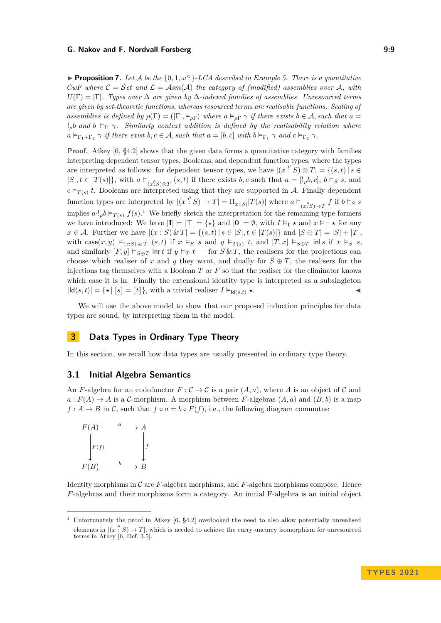**Proposition 7.** Let A be the  $\{0, 1, \omega^{\lt} \}$ -LCA described in Example [5.](#page-7-0) There is a quantitative *CwF where*  $C = Set$  and  $\mathcal{L} = Asm(\mathcal{A})$  the category of (modified) assemblies over  $\mathcal{A}$ , with  $U(\Gamma) = |\Gamma|$ *. Types over*  $\Delta$  *are given by*  $\Delta$ *-indexed families of assemblies. Unresourced terms are given by set-theoretic functions, whereas resourced terms are realisable functions. Scaling of assemblies is defined by*  $\rho(\Gamma) = (|\Gamma|, \vDash_{\rho\Gamma})$  *where*  $a \vDash_{\rho\Gamma} \gamma$  *if there exists*  $b \in \mathcal{A}$ *, such that*  $a =$  $!$ <sup>*p*</sup> *b* and *b*  $\models$ <sup>r</sup>  $\gamma$ *. Similarly context addition is defined by the realisability relation where*  $a \vDash_{\Gamma_1 + \Gamma_2} \gamma$  *if there exist*  $b, c \in \mathcal{A}$ , *such that*  $a = [b, c]$  *with*  $b \vDash_{\Gamma_1} \gamma$  *and*  $c \vDash_{\Gamma_2} \gamma$ *.* 

**Proof.** Atkey [\[6,](#page-19-1) §4.2] shows that the given data forms a quantitative category with families interpreting dependent tensor types, Booleans, and dependent function types, where the types are interpreted as follows: for dependent tensor types, we have  $|(x - s) \otimes T| = \{(s, t) | s \in$  $|S|, t \in |T(s)|\}$ , with  $a \models_{(x\cdot S)\otimes T} (s,t)$  if there exists  $b, c$  such that  $a = [l_{\rho}b, c], b \models_{S} s$ , and  $c \vDash_{T(s)} t$ . Booleans are interpreted using that they are supported in A. Finally dependent function types are interpreted by  $|(x|^{\rho} S) \to T| = \prod_{x:|S|} |T(s)|$  where  $a \models_{(x^{\rho} S) \to T} f$  if  $b \models_{S} s$ implies  $a \cdot \frac{1}{2} b \vDash_{T(s)} f(s)$  $a \cdot \frac{1}{2} b \vDash_{T(s)} f(s)$  $a \cdot \frac{1}{2} b \vDash_{T(s)} f(s)$ .<sup>1</sup> We briefly sketch the interpretation for the remaining type formers we have introduced: We have  $|\mathbf{I}| = |\mathbf{T}| = {\star}$  and  $|\mathbf{0}| = \emptyset$ , with  $I \vDash_{\mathbf{I}} \star$  and  $x \vDash_{\mathbf{T}} \star$  for any *x* ∈ *A*. Further we have  $|(x : S) \& T| = \{(s, t) | s \in |S|, t \in |T(s)|\}$  and  $|S ⊕ T| = |S| + |T|$ , with case $(x, y) \vDash_{(x:S)\& T} (s,t)$  if  $x \vDash_S s$  and  $y \vDash_{T(s)} t$ , and  $[T, x] \vDash_{S \oplus T}$  inls if  $x \vDash_S s$ , and similarly  $[F, y] \models_{S \oplus T} \text{int } t$  if  $y \models_T t$  — for  $S \& T$ , the realisers for the projections can choose which realiser of *x* and *y* they want, and dually for  $S \oplus T$ , the realisers for the injections tag themselves with a Boolean *T* or *F* so that the realiser for the eliminator knows which case it is in. Finally the extensional identity type is interpreted as a subsingleton  $|\mathbf{Id}(s,t)| = \{ \star | [s] = [t] \},\$  with a trivial realiser  $I \vDash_{\mathbf{Id}(s,t)} \star$ .

We will use the above model to show that our proposed induction principles for data types are sound, by interpreting them in the model.

# <span id="page-8-0"></span>**3 Data Types in Ordinary Type Theory**

In this section, we recall how data types are usually presented in ordinary type theory.

### **3.1 Initial Algebra Semantics**

An *F*-algebra for an endofunctor  $F: \mathcal{C} \to \mathcal{C}$  is a pair  $(A, a)$ , where *A* is an object of *C* and  $a: F(A) \to A$  is a C-morphism. A morphism between *F*-algebras  $(A, a)$  and  $(B, b)$  is a map  $f: A \rightarrow B$  in C, such that  $f \circ a = b \circ F(f)$ , i.e., the following diagram commutes:

$$
F(A) \xrightarrow{a} A
$$
  
\n
$$
F(f) \xrightarrow{b} B
$$
  
\n
$$
F(B) \xrightarrow{b} B
$$

Identity morphisms in C are *F*-algebra morphisms, and *F*-algebra morphisms compose. Hence *F*-algebras and their morphisms form a category. An initial F-algebra is an initial object

<span id="page-8-1"></span><sup>1</sup> Unfortunately the proof in Atkey [\[6,](#page-19-1) §4.2] overlooked the need to also allow potentially unrealised elements in  $|(x|^{\rho}, S) \to T|$ , which is needed to achieve the curry-uncurry isomorphism for unresourced terms in Atkey [\[6,](#page-19-1) Def. 3.5].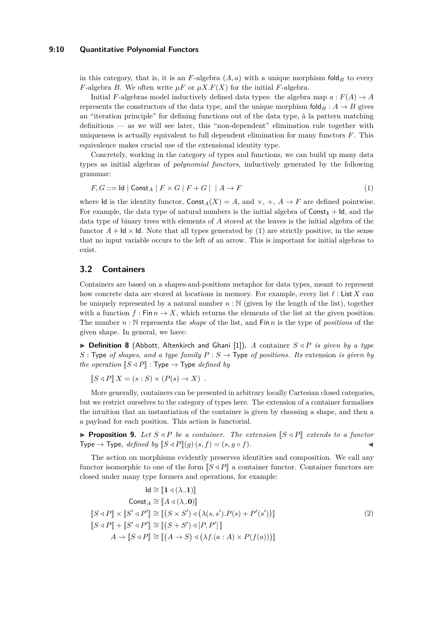### **9:10 Quantitative Polynomial Functors**

in this category, that is, it is an *F*-algebra  $(A, a)$  with a unique morphism fold<sub>*B*</sub> to every *F*-algebra *B*. We often write  $\mu F$  or  $\mu X.F(X)$  for the initial *F*-algebra.

Initial *F*-algebras model inductively defined data types: the algebra map  $a : F(A) \to A$ represents the constructors of the data type, and the unique morphism  $\text{fold}_B : A \to B$  gives an "iteration principle" for defining functions out of the data type, à la pattern matching definitions — as we will see later, this "non-dependent" elimination rule together with uniqueness is actually equivalent to full dependent elimination for many functors *F*. This equivalence makes crucial use of the extensional identity type.

Concretely, working in the category of types and functions, we can build up many data types as initial algebras of *polynomial functors*, inductively generated by the following grammar:

<span id="page-9-0"></span>
$$
F, G ::= \mathsf{Id} \mid \mathsf{Const}_A \mid F \times G \mid F + G \mid \mid A \to F \tag{1}
$$

where Id is the identity functor,  $\text{Const}_A(X) = A$ , and  $\times$ ,  $+$ ,  $A \rightarrow F$  are defined pointwise. For example, the data type of natural numbers is the initial algebra of  $Const<sub>1</sub> + Id$ , and the data type of binary trees with elements of *A* stored at the leaves is the initial algebra of the functor  $A + \mathsf{Id} \times \mathsf{Id}$ . Note that all types generated by [\(1\)](#page-9-0) are strictly positive, in the sense that no input variable occurs to the left of an arrow. This is important for initial algebras to exist.

# **3.2 Containers**

Containers are based on a shapes-and-positions metaphor for data types, meant to represent how concrete data are stored at locations in memory. For example, every list *ℓ* : List *X* can be uniquely represented by a natural number  $n : \mathbb{N}$  (given by the length of the list), together with a function  $f : \text{Fin } n \to X$ , which returns the elements of the list at the given position. The number *n* : N represents the *shape* of the list, and Fin *n* is the type of *positions* of the given shape. In general, we have:

▶ **Definition 8** (Abbott, Altenkirch and Ghani [\[1\]](#page-19-3))**.** *A* container *S ◁ P is given by a type*  $S:$  Type *of shapes, and a type family*  $P: S \rightarrow$  Type *of positions. Its* extension *is given by the operation*  $\llbracket S \triangleleft P \rrbracket$  : Type  $\rightarrow$  Type *defined by* 

$$
[S \triangleleft P] X = (s : S) \times (P(s) \to X) .
$$

More generally, containers can be presented in arbitrary locally Cartesian closed categories, but we restrict ourselves to the category of types here. The extension of a container formalises the intuition that an instantiation of the container is given by choosing a shape, and then a a payload for each position. This action is functorial.

**Proposition 9.** Let  $S \triangleleft P$  be a container. The extension  $\llbracket S \triangleleft P \rrbracket$  extends to a functor Type  $\rightarrow$  Type, *defined by*  $\llbracket S \triangleleft P \rrbracket(g)(s, f) = (s, g \circ f)$ .

The action on morphisms evidently preserves identities and composition. We call any functor isomorphic to one of the form  $\llbracket S \triangleleft P \rrbracket$  a container functor. Container functors are closed under many type formers and operations, for example:

<span id="page-9-1"></span>
$$
d \cong [1 \triangleleft (\lambda.1)]
$$
  
\n
$$
Const_A \cong [A \triangleleft (\lambda.0)]
$$
  
\n
$$
[[S \triangleleft P]] \times [[S' \triangleleft P'] ] \cong [[(S \times S') \triangleleft (\lambda(s, s').P(s) + P'(s'))]]
$$
  
\n
$$
[[S \triangleleft P]] + [[S' \triangleleft P'] ] \cong [[(S + S') \triangleleft [P, P']]]
$$
  
\n
$$
A \rightarrow [[S \triangleleft P]] \cong [[(A \rightarrow S) \triangleleft (\lambda f.(a : A) \times P(f(a)))]]]
$$
\n(2)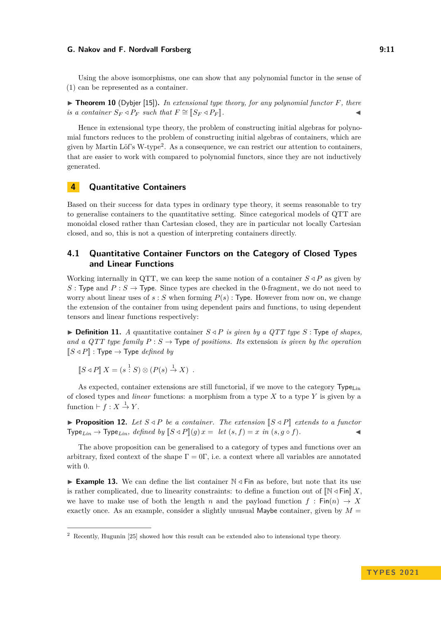Using the above isomorphisms, one can show that any polynomial functor in the sense of [\(1\)](#page-9-0) can be represented as a container.

<span id="page-10-2"></span> $\triangleright$  **Theorem 10** (Dybjer [\[15\]](#page-20-7)). In extensional type theory, for any polynomial functor  $F$ , there *is a container*  $S_F \triangleleft P_F$  *such that*  $F \cong [S_F \triangleleft P_F]$ .

Hence in extensional type theory, the problem of constructing initial algebras for polynomial functors reduces to the problem of constructing initial algebras of containers, which are given by Martin Löf's W-type<sup>[2](#page-10-1)</sup>. As a consequence, we can restrict our attention to containers, that are easier to work with compared to polynomial functors, since they are not inductively generated.

# <span id="page-10-0"></span>**4 Quantitative Containers**

Based on their success for data types in ordinary type theory, it seems reasonable to try to generalise containers to the quantitative setting. Since categorical models of QTT are monoidal closed rather than Cartesian closed, they are in particular not locally Cartesian closed, and so, this is not a question of interpreting containers directly.

# **4.1 Quantitative Container Functors on the Category of Closed Types and Linear Functions**

Working internally in QTT, we can keep the same notion of a container  $S \triangleleft P$  as given by *S* : Type and  $P: S \to$  Type. Since types are checked in the 0-fragment, we do not need to worry about linear uses of  $s : S$  when forming  $P(s)$ : Type. However from now on, we change the extension of the container from using dependent pairs and functions, to using dependent tensors and linear functions respectively:

 $\triangleright$  **Definition 11.** *A* quantitative container  $S \triangleleft P$  *is given by a QTT type S* : Type *of shapes*, *and a QTT type family*  $P : S \to \text{Type } of \text{ positions.}$  *Its* extension *is given by the operation*  $\llbracket S \triangleleft P \rrbracket$  : Type  $\rightarrow$  Type *defined by* 

 $[S \triangleleft P] X = (s \stackrel{1}{\cdot} S) \otimes (P(s) \stackrel{1}{\rightarrow} X)$ .

As expected, container extensions are still functorial, if we move to the category  $Type<sub>Lin</sub>$ of closed types and *linear* functions: a morphism from a type *X* to a type *Y* is given by a function  $\vdash f : X \stackrel{1}{\to} Y$ .

**• Proposition 12.** Let  $S \triangleleft P$  be a container. The extension  $\llbracket S \triangleleft P \rrbracket$  extends to a functor  $Type_{Lin} \rightarrow Type_{Lin}$ , defined by  $[S \triangleleft P](g)$   $x = let$   $(s, f) = x$  *in*  $(s, g \circ f)$ .

The above proposition can be generalised to a category of types and functions over an arbitrary, fixed context of the shape  $\Gamma = 0\Gamma$ , i.e. a context where all variables are annotated with 0.

▶ **Example 13.** We can define the list container N *◁* Fin as before, but note that its use is rather complicated, due to linearity constraints: to define a function out of  $\mathbb{N}\triangleleft$  Fin X. we have to make use of both the length *n* and the payload function  $f : Fin(n) \to X$ exactly once. As an example, consider a slightly unusual Maybe container, given by  $M =$ 

<span id="page-10-1"></span><sup>2</sup> Recently, Hugunin [\[25\]](#page-21-4) showed how this result can be extended also to intensional type theory.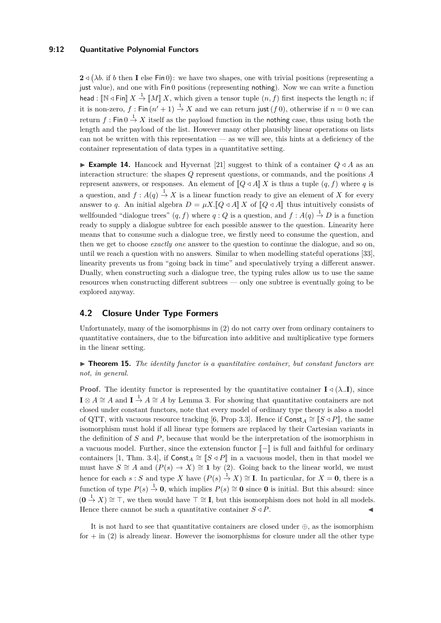### **9:12 Quantitative Polynomial Functors**

 $2 \triangleleft (\lambda b$ . if *b* then **I** else Fin 0): we have two shapes, one with trivial positions (representing a just value), and one with Fin 0 positions (representing nothing). Now we can write a function head :  $\llbracket \mathbb{N} \triangleleft \mathsf{Fin} \rrbracket X \stackrel{1}{\to} \llbracket M \rrbracket X$ , which given a tensor tuple  $(n, f)$  first inspects the length *n*; if it is non-zero,  $f: \mathsf{Fin}(n'+1) \stackrel{1}{\to} X$  and we can return just  $(f\,0)$ , otherwise if  $n=0$  we can return  $f: \text{Fin } 0 \stackrel{1}{\rightarrow} X$  itself as the payload function in the nothing case, thus using both the length and the payload of the list. However many other plausibly linear operations on lists can not be written with this representation — as we will see, this hints at a deficiency of the container representation of data types in a quantitative setting.

<span id="page-11-0"></span>**Example 14.** Hancock and Hyvernat [\[21\]](#page-20-14) suggest to think of a container  $Q \triangleleft A$  as an interaction structure: the shapes *Q* represent questions, or commands, and the positions *A* represent answers, or responses. An element of  $\llbracket Q \triangleleft A \rrbracket X$  is thus a tuple  $(q, f)$  where q is a question, and  $f: A(q) \stackrel{1}{\rightarrow} X$  is a linear function ready to give an element of X for every answer to *q*. An initial algebra  $D = \mu X \cdot [Q \triangleleft A] X$  of  $[Q \triangleleft A]$  thus intuitively consists of wellfounded "dialogue trees"  $(q, f)$  where  $q: Q$  is a question, and  $f: A(q) \stackrel{1}{\rightarrow} D$  is a function ready to supply a dialogue subtree for each possible answer to the question. Linearity here means that to consume such a dialogue tree, we firstly need to consume the question, and then we get to choose *exactly one* answer to the question to continue the dialogue, and so on, until we reach a question with no answers. Similar to when modelling stateful operations [\[33\]](#page-21-8), linearity prevents us from "going back in time" and speculatively trying a different answer. Dually, when constructing such a dialogue tree, the typing rules allow us to use the same resources when constructing different subtrees — only one subtree is eventually going to be explored anyway.

# <span id="page-11-1"></span>**4.2 Closure Under Type Formers**

Unfortunately, many of the isomorphisms in [\(2\)](#page-9-1) do not carry over from ordinary containers to quantitative containers, due to the bifurcation into additive and multiplicative type formers in the linear setting.

▶ **Theorem 15.** *The identity functor is a quantitative container, but constant functors are not, in general.*

**Proof.** The identity functor is represented by the quantitative container  $I \triangleleft (\lambda \cdot I)$ , since  $\mathbf{I} \otimes A \cong A$  and  $\mathbf{I} \stackrel{1}{\rightarrow} A \cong A$  by Lemma [3.](#page-6-0) For showing that quantitative containers are not closed under constant functors, note that every model of ordinary type theory is also a model of QTT, with vacuous resource tracking [\[6,](#page-19-1) Prop 3.3]. Hence if  $\text{Const}_A \cong [S \triangleleft P]$ , the same isomorphism must hold if all linear type formers are replaced by their Cartesian variants in the definition of *S* and *P*, because that would be the interpretation of the isomorphism in a vacuous model. Further, since the extension functor  $\llbracket - \rrbracket$  is full and faithful for ordinary containers [\[1,](#page-19-3) Thm. 3.4], if  $\text{Const}_A \cong [S \triangleleft P]$  in a vacuous model, then in that model we must have  $S \cong A$  and  $(P(s) \to X) \cong \mathbf{1}$  by [\(2\)](#page-9-1). Going back to the linear world, we must hence for each  $s : S$  and type *X* have  $(P(s) \stackrel{1}{\rightarrow} X) \cong I$ . In particular, for  $X = 0$ , there is a function of type  $P(s) \stackrel{1}{\rightarrow} 0$ , which implies  $P(s) \cong 0$  since 0 is initial. But this absurd: since  $(0 \tarrow X) \cong \top$ , we then would have  $\top \cong \mathbf{I}$ , but this isomorphism does not hold in all models. Hence there cannot be such a quantitative container  $S \triangleleft P$ .

It is not hard to see that quantitative containers are closed under  $\oplus$ , as the isomorphism for  $+$  in [\(2\)](#page-9-1) is already linear. However the isomorphisms for closure under all the other type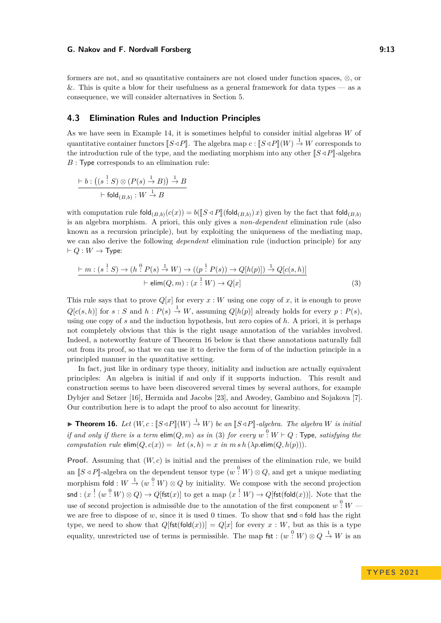formers are not, and so quantitative containers are not closed under function spaces, ⊗, or &. This is quite a blow for their usefulness as a general framework for data types — as a consequence, we will consider alternatives in Section [5.](#page-13-0)

### **4.3 Elimination Rules and Induction Principles**

As we have seen in Example [14,](#page-11-0) it is sometimes helpful to consider initial algebras *W* of quantitative container functors  $\llbracket S \triangleleft P \rrbracket$ . The algebra map  $c : \llbracket S \triangleleft P \rrbracket(W) \stackrel{1}{\rightarrow} W$  corresponds to the introduction rule of the type, and the mediating morphism into any other  $\llbracket S \triangleleft P \rrbracket$ -algebra *B* : Type corresponds to an elimination rule:

$$
\frac{\vdash b : ((s \stackrel{1}{\cdot} S) \otimes (P(s) \stackrel{1}{\rightarrow} B)) \stackrel{1}{\rightarrow} B}{\vdash \text{fold}_{(B,b)} : W \stackrel{1}{\rightarrow} B}
$$

with computation rule  $\text{fold}_{(B,b)}(c(x)) = b([\![S \triangleleft P]\!](\text{fold}_{(B,b)}) x)$  given by the fact that  $\text{fold}_{(B,b)}$ is an algebra morphism. A priori, this only gives a *non-dependent* elimination rule (also known as a recursion principle), but by exploiting the uniqueness of the mediating map, we can also derive the following *dependent* elimination rule (induction principle) for any  $\vdash Q : W \to \text{Type:}$ 

<span id="page-12-1"></span>
$$
\frac{\vdash m : (s \stackrel{1}{\cdot} S) \to (h \stackrel{0}{\cdot} P(s) \stackrel{1}{\to} W) \to ((p \stackrel{1}{\cdot} P(s)) \to Q[h(p)]) \stackrel{1}{\to} Q[c(s, h)]}{\vdash \text{elim}(Q, m) : (x \stackrel{1}{\cdot} W) \to Q[x]}
$$
(3)

This rule says that to prove  $Q[x]$  for every  $x: W$  using one copy of x, it is enough to prove  $Q[c(s, h)]$  for  $s : S$  and  $h : P(s) \to W$ , assuming  $Q[h(p)]$  already holds for every  $p : P(s)$ , using one copy of *s* and the induction hypothesis, but zero copies of *h*. A priori, it is perhaps not completely obvious that this is the right usage annotation of the variables involved. Indeed, a noteworthy feature of Theorem [16](#page-12-0) below is that these annotations naturally fall out from its proof, so that we can use it to derive the form of of the induction principle in a principled manner in the quantitative setting.

In fact, just like in ordinary type theory, initiality and induction are actually equivalent principles: An algebra is initial if and only if it supports induction. This result and construction seems to have been discovered several times by several authors, for example Dybjer and Setzer [\[16\]](#page-20-15), Hermida and Jacobs [\[23\]](#page-20-8), and Awodey, Gambino and Sojakova [\[7\]](#page-19-5). Our contribution here is to adapt the proof to also account for linearity.

<span id="page-12-0"></span>▶ **Theorem 16.** *Let*  $(W, c : \llbracket S \triangleleft P \rrbracket(W) \stackrel{1}{\rightarrow} W)$  *be an*  $\llbracket S \triangleleft P \rrbracket$ -algebra. The algebra *W is initial if and only if there is a term*  $\text{elim}(Q, m)$  *as in* [\(3\)](#page-12-1) *for every*  $w^0: W \vdash Q$  : Type, satisfying the *computation rule*  $\text{elim}(Q, c(x)) = \text{let}(s, h) = x \text{ in } m \text{ s } h(\lambda p \text{. } \text{elim}(Q, h(p))).$ 

**Proof.** Assuming that (*W, c*) is initial and the premises of the elimination rule, we build an  $[S \triangleleft P]$ -algebra on the dependent tensor type  $(w^0: W) \otimes Q$ , and get a unique mediating morphism fold :  $W \stackrel{1}{\rightarrow} (w \stackrel{0}{\cdot} W) \otimes Q$  by initiality. We compose with the second projection  $\mathsf{snd} : (x \stackrel{1}{\colon} (w \stackrel{0}{\colon} W) \otimes Q) \to Q[\mathsf{fst}(x)]$  to get a map  $(x \stackrel{1}{\colon} W) \to Q[\mathsf{fst}(\mathsf{fold}(x))].$  Note that the use of second projection is admissible due to the annotation of the first component  $w^0$ :  $W$  we are free to dispose of *w*, since it is used 0 times. To show that snd  $\circ$  fold has the right type, we need to show that  $Q[{\sf{fst}}({\sf{fold}}(x))] = Q[x]$  for every  $x : W$ , but as this is a type equality, unrestricted use of terms is permissible. The map fst :  $(w^0: W) \otimes Q \stackrel{1}{\rightarrow} W$  is an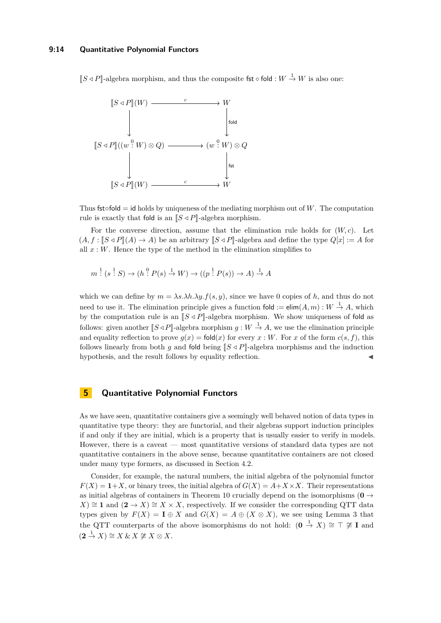### **9:14 Quantitative Polynomial Functors**

 $[S \triangleleft P]$ -algebra morphism, and thus the composite fst ◦ fold :  $W$   $\rightarrow$  *W* is also one:



Thus fst $\circ$ fold = id holds by uniqueness of the mediating morphism out of W. The computation rule is exactly that fold is an  $\llbracket S \triangleleft P \rrbracket$ -algebra morphism.

For the converse direction, assume that the elimination rule holds for  $(W, c)$ . Let  $(A, f: \mathbb{S} \triangleleft P \mathbb{I}(A) \to A)$  be an arbitrary  $\mathbb{S} \triangleleft P \mathbb{I}$ -algebra and define the type  $Q[x] := A$  for all  $x : W$ . Hence the type of the method in the elimination simplifies to

$$
m^{\frac{1}{2}}(s^{\frac{1}{2}}S) \to (h^{\frac{0}{2}}P(s) \stackrel{1}{\to} W) \to ((p^{\frac{1}{2}}P(s)) \to A) \stackrel{1}{\to} A
$$

which we can define by  $m = \lambda s \cdot \lambda h \cdot \lambda y \cdot f(s, y)$ , since we have 0 copies of *h*, and thus do not need to use it. The elimination principle gives a function fold  $:=$   $\text{elim}(A,m): W \stackrel{1}{\rightarrow} A$ , which by the computation rule is an  $\llbracket S \triangleleft P \rrbracket$ -algebra morphism. We show uniqueness of fold as follows: given another  $[S \triangleleft P]$ -algebra morphism  $g : W \stackrel{1}{\rightarrow} A$ , we use the elimination principle and equality reflection to prove  $q(x) = \text{fold}(x)$  for every  $x : W$ . For  $x$  of the form  $c(s, f)$ , this follows linearly from both *q* and fold being  $\llbracket S \triangleleft P \rrbracket$ -algebra morphisms and the induction hypothesis, and the result follows by equality reflection.

# <span id="page-13-0"></span>**5 Quantitative Polynomial Functors**

As we have seen, quantitative containers give a seemingly well behaved notion of data types in quantitative type theory: they are functorial, and their algebras support induction principles if and only if they are initial, which is a property that is usually easier to verify in models. However, there is a caveat — most quantitative versions of standard data types are not quantitative containers in the above sense, because quantitative containers are not closed under many type formers, as discussed in Section [4.2.](#page-11-1)

Consider, for example, the natural numbers, the initial algebra of the polynomial functor  $F(X) = 1+X$ , or binary trees, the initial algebra of  $G(X) = A+X \times X$ . Their representations as initial algebras of containers in Theorem [10](#page-10-2) crucially depend on the isomorphisms ( $\mathbf{0} \rightarrow$  $(X) \cong \mathbf{1}$  and  $(\mathbf{2} \to X) \cong X \times X$ , respectively. If we consider the corresponding QTT data types given by  $F(X) = I \oplus X$  and  $G(X) = A \oplus (X \otimes X)$ , we see using Lemma [3](#page-6-0) that the QTT counterparts of the above isomorphisms do not hold:  $(0 \stackrel{1}{\rightarrow} X) \cong \top \ncong \mathbf{I}$  and  $(2 \stackrel{1}{\rightarrow} X) \cong X \& X \not\cong X \otimes X.$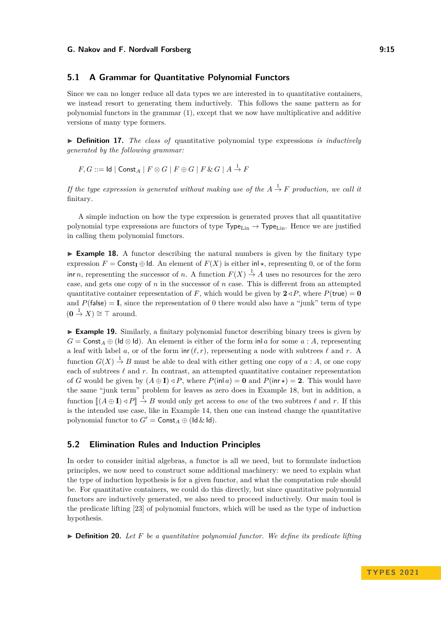### **5.1 A Grammar for Quantitative Polynomial Functors**

Since we can no longer reduce all data types we are interested in to quantitative containers, we instead resort to generating them inductively. This follows the same pattern as for polynomial functors in the grammar [\(1\)](#page-9-0), except that we now have multiplicative and additive versions of many type formers.

▶ **Definition 17.** *The class of* quantitative polynomial type expressions *is inductively generated by the following grammar:*

$$
F, G ::= \mathsf{Id} \mid \mathsf{Const}_A \mid F \otimes G \mid F \oplus G \mid F \& G \mid A \stackrel{1}{\to} F
$$

*If the type expression is generated without making use of the*  $A \stackrel{1}{\rightarrow} F$  *production, we call it* finitary*.*

A simple induction on how the type expression is generated proves that all quantitative polynomial type expressions are functors of type  $Type_{Lin} \rightarrow Type_{Lin}$ . Hence we are justified in calling them polynomial functors.

<span id="page-14-1"></span>▶ **Example 18.** A functor describing the natural numbers is given by the finitary type expression  $F = \text{Const}_I \oplus \text{Id}$ . An element of  $F(X)$  is either  $\text{inl} \star$ , representing 0, or of the form inr *n*, representing the successor of *n*. A function  $F(X) \to A$  uses no resources for the zero case, and gets one copy of *n* in the successor of *n* case. This is different from an attempted quantitative container representation of *F*, which would be given by  $2 \triangleleft P$ , where  $P(\text{true}) = \mathbf{0}$ and  $P(\text{false}) = I$ , since the representation of 0 there would also have a "junk" term of type  $(0 \stackrel{1}{\rightarrow} X) \cong \top$  around.

<span id="page-14-2"></span>▶ **Example 19.** Similarly, a finitary polynomial functor describing binary trees is given by *G* = Const<sub>*A*</sub> ⊕ (ld ⊗ ld). An element is either of the form in *a* for some *a* : *A*, representing a leaf with label *a*, or of the form  $\text{inr}(\ell, r)$ , representing a node with subtrees  $\ell$  and *r*. A function  $G(X) \to B$  must be able to deal with either getting one copy of *a* : *A*, or one copy each of subtrees  $\ell$  and  $r$ . In contrast, an attempted quantitative container representation of *G* would be given by  $(A \oplus I) \triangleleft P$ , where  $P(\text{inl } a) = 0$  and  $P(\text{inr } \star) = 2$ . This would have the same "junk term" problem for leaves as zero does in Example [18,](#page-14-1) but in addition, a function  $\llbracket (A \oplus \mathbf{I}) \triangleleft P \rrbracket \xrightarrow{1} B$  would only get access to *one* of the two subtrees  $\ell$  and  $r$ . If this is the intended use case, like in Example [14,](#page-11-0) then one can instead change the quantitative polynomial functor to  $G' = \text{Const}_A \oplus (\text{Id} \& \text{Id}).$ 

### **5.2 Elimination Rules and Induction Principles**

In order to consider initial algebras, a functor is all we need, but to formulate induction principles, we now need to construct some additional machinery: we need to explain what the type of induction hypothesis is for a given functor, and what the computation rule should be. For quantitative containers, we could do this directly, but since quantitative polynomial functors are inductively generated, we also need to proceed inductively. Our main tool is the predicate lifting [\[23\]](#page-20-8) of polynomial functors, which will be used as the type of induction hypothesis.

<span id="page-14-0"></span>▶ **Definition 20.** *Let F be a quantitative polynomial functor. We define its predicate lifting*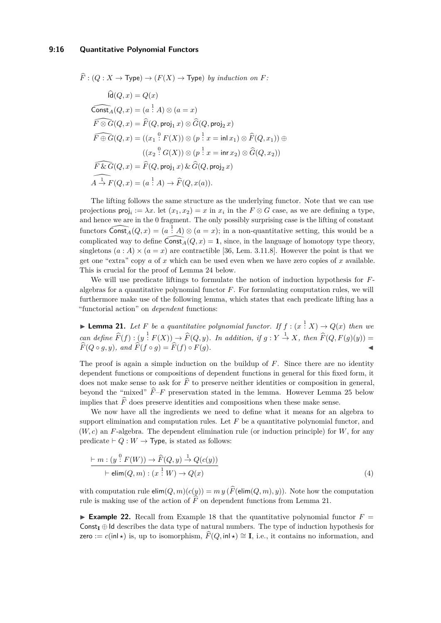$\widehat{F}: (Q : X \to \textsf{Type}) \to (F(X) \to \textsf{Type})$  *by induction on F*:

$$
d(Q, x) = Q(x)
$$
  
\n
$$
\widehat{\text{Const}}_A(Q, x) = (a \stackrel{!}{:} A) \otimes (a = x)
$$
  
\n
$$
\widehat{F \otimes G}(Q, x) = \widehat{F}(Q, \text{proj}_1 x) \otimes \widehat{G}(Q, \text{proj}_2 x)
$$
  
\n
$$
\widehat{F \oplus G}(Q, x) = ((x_1 \stackrel{0}{:} F(X)) \otimes (p \stackrel{!}{:} x = \text{inl } x_1) \otimes \widehat{F}(Q, x_1)) \oplus
$$
  
\n
$$
((x_2 \stackrel{0}{:} G(X)) \otimes (p \stackrel{!}{:} x = \text{inr } x_2) \otimes \widehat{G}(Q, x_2))
$$
  
\n
$$
\widehat{F \& G}(Q, x) = \widehat{F}(Q, \text{proj}_1 x) \& \widehat{G}(Q, \text{proj}_2 x)
$$
  
\n
$$
\widehat{A \xrightarrow{1}} F(Q, x) = (a \stackrel{!}{:} A) \rightarrow \widehat{F}(Q, x(a)).
$$

The lifting follows the same structure as the underlying functor. Note that we can use projections  $proj_i := \lambda x$ . let  $(x_1, x_2) = x$  in  $x_i$  in the  $F \otimes G$  case, as we are defining a type, and hence we are in the 0 fragment. The only possibly surprising case is the lifting of constant functors  $\widehat{\text{Const}_A}(Q, x) = (a \stackrel{1}{\cdot} A) \otimes (a = x);$  in a non-quantitative setting, this would be a complicated way to define  $\widehat{\text{Const}_A}(Q, x) = 1$ , since, in the language of homotopy type theory, singletons  $(a : A) \times (a = x)$  are contractible [\[36,](#page-21-9) Lem. 3.11.8]. However the point is that we get one "extra" copy *a* of *x* which can be used even when we have zero copies of *x* available. This is crucial for the proof of Lemma [24](#page-16-1) below.

We will use predicate liftings to formulate the notion of induction hypothesis for *F*algebras for a quantitative polynomial functor *F*. For formulating computation rules, we will furthermore make use of the following lemma, which states that each predicate lifting has a "functorial action" on *dependent* functions:

<span id="page-15-0"></span>▶ **Lemma 21.** Let F be a quantitative polynomial functor. If  $f : (x \stackrel{?}{:} X) \rightarrow Q(x)$  then we  $\hat{F}(f) : (y^{-1}F(X)) \to \hat{F}(Q, y)$ *. In addition, if*  $g: Y \to X$ *, then*  $\hat{F}(Q, F(g)(y)) = \hat{F}(Q, \hat{F}(g)(y))$  $\hat{F}(Q \circ q, y)$ *, and*  $\hat{F}(f \circ q) = \hat{F}(f) \circ F(q)$ .

The proof is again a simple induction on the buildup of *F*. Since there are no identity dependent functions or compositions of dependent functions in general for this fixed form, it does not make sense to ask for  $\widehat{F}$  to preserve neither identities or composition in general, beyond the "mixed"  $\widehat{F}-F$  preservation stated in the lemma. However Lemma [25](#page-16-2) below implies that  $\widehat{F}$  does preserve identities and compositions when these make sense.

We now have all the ingredients we need to define what it means for an algebra to support elimination and computation rules. Let *F* be a quantitative polynomial functor, and (*W, c*) an *F*-algebra. The dependent elimination rule (or induction principle) for *W*, for any predicate  $\vdash Q : W \to \text{Type}$ , is stated as follows:

<span id="page-15-1"></span>
$$
\frac{\vdash m : (y \stackrel{0}{\cdot} F(W)) \to \widehat{F}(Q, y) \stackrel{1}{\to} Q(c(y))}{\vdash \text{elim}(Q, m) : (x \stackrel{1}{\cdot} W) \to Q(x)}
$$
\n(4)

with computation rule  $\text{elim}(Q, m)(c(y)) = m y \left( \widehat{F}(\text{elim}(Q, m), y) \right)$ . Note how the computation rule is making use of the action of  $\widehat{F}$  on dependent functions from Lemma [21.](#page-15-0)

**Example 22.** Recall from Example [18](#page-14-1) that the quantitative polynomial functor  $F =$ Const<sub>I</sub>  $\oplus$  Id describes the data type of natural numbers. The type of induction hypothesis for zero :=  $c(\text{inl} \star)$  is, up to isomorphism,  $\widehat{F}(Q, \text{inl} \star) \cong \mathbf{I}$ , i.e., it contains no information, and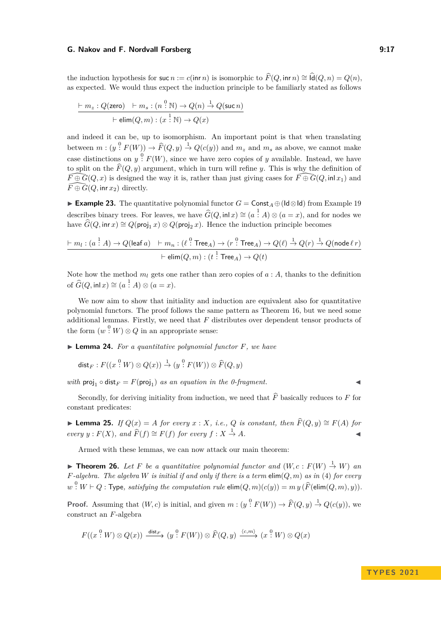the induction hypothesis for suc *n* := *c*(inr *n*) is isomorphic to  $\widehat{F}(Q, \text{inr } n) \cong \widehat{Id}(Q, n) = Q(n)$ , as expected. We would thus expect the induction principle to be familiarly stated as follows

$$
\frac{\vdash m_z : Q(\text{zero}) \quad \vdash m_s : (n \stackrel{0}{:} \mathbb{N}) \to Q(n) \stackrel{1}{\to} Q(\text{succ } n)}{\vdash \text{elim}(Q, m) : (x \stackrel{1}{:} \mathbb{N}) \to Q(x)}
$$

and indeed it can be, up to isomorphism. An important point is that when translating between  $m:(y^0: F(W)) \to \widehat{F}(Q, y) \stackrel{1}{\to} Q(c(y))$  and  $m_z$  and  $m_s$  as above, we cannot make case distinctions on  $y \nvert^0 F(W)$ , since we have zero copies of *y* available. Instead, we have to split on the  $\widehat{F}(Q, y)$  argument, which in turn will refine *y*. This is why the definition of  $\bar{F}\oplus \bar{G}(Q, x)$  is designed the way it is, rather than just giving cases for  $\widehat{F\oplus G}(Q, \text{in} | x_1)$  and  $\widehat{F} \oplus \widehat{G}(Q, \text{inr } x_2)$  directly.

▶ **Example 23.** The quantitative polynomial functor *G* = Const*<sup>A</sup>* ⊕(Id⊗Id) from Example [19](#page-14-2) describes binary trees. For leaves, we have  $\widehat{G}(Q, \text{inl } x) \cong (a \stackrel{!}{:} A) \otimes (a = x)$ , and for nodes we have  $\widehat{G}(Q, \text{inr } x) \cong Q(\text{proj}_1 x) \otimes Q(\text{proj}_2 x)$ . Hence the induction principle becomes

$$
\dfrac{\vdash m_l:(a \stackrel{1}{\cdot} A) \to Q(\mathsf{leaf}\,a) \quad \vdash m_n:(\ell \stackrel{0}{\cdot} \mathsf{Tree}_A) \to (r \stackrel{0}{\cdot} \mathsf{Tree}_A) \to Q(\ell) \stackrel{1}{\to} Q(r) \stackrel{1}{\to} Q(\mathsf{node}\,\ell\,r)}{\vdash \mathsf{elim}(Q,m):(t \stackrel{1}{\cdot} \mathsf{Tree}_A) \to Q(t)}
$$

Note how the method  $m_l$  gets one rather than zero copies of  $a : A$ , thanks to the definition of  $\widehat{G}(Q, \text{inl } x) \cong (a \stackrel{1}{\cdot} A) \otimes (a = x).$ 

We now aim to show that initiality and induction are equivalent also for quantitative polynomial functors. The proof follows the same pattern as Theorem [16,](#page-12-0) but we need some additional lemmas. Firstly, we need that *F* distributes over dependent tensor products of the form  $(w^0: W) \otimes Q$  in an appropriate sense:

<span id="page-16-1"></span>▶ **Lemma 24.** *For a quantitative polynomial functor F, we have*

$$
\mathsf{dist}_F: F((x \overset{0}{:} W) \otimes Q(x)) \overset{1}{\to} (y \overset{0}{:} F(W)) \otimes \widehat{F}(Q, y)
$$

*with*  $proj_1 \circ dist_F = F (proj_1)$  *as an equation in the 0-fragment.* 

Secondly, for deriving initiality from induction, we need that  $\widehat{F}$  basically reduces to  $F$  for constant predicates:

<span id="page-16-2"></span>▶ **Lemma 25.** *If*  $Q(x) = A$  *for every*  $x : X$ *, i.e.,*  $Q$  *is constant, then*  $\widehat{F}(Q, y) \cong F(A)$  *for every y* :  $F(X)$ *, and*  $\widehat{F}(f) \cong F(f)$  *for every*  $f : X \stackrel{1}{\rightarrow} A$ *.* 

Armed with these lemmas, we can now attack our main theorem:

<span id="page-16-0"></span>▶ **Theorem 26.** Let F be a quantitative polynomial functor and  $(W, c : F(W) \stackrel{1}{\rightarrow} W)$  an *F*-algebra. The algebra *W* is initial if and only if there is a term  $\text{elim}(Q, m)$  as in [\(4\)](#page-15-1) for every *w*<sup>0</sup>: *W* ⊢ *Q* : Type, satisfying the computation rule  $\text{elim}(Q, m)(c(y)) = m y \left( \widehat{F}(\text{elim}(Q, m), y) \right)$ .

**Proof.** Assuming that  $(W, c)$  is initial, and given  $m : (y^0 : F(W)) \to \widehat{F}(Q, y) \xrightarrow{1} Q(c(y))$ , we construct an *F*-algebra

$$
F((x^{0}, W) \otimes Q(x)) \xrightarrow{\text{dist}_{F}} (y^{0}, F(W)) \otimes \widehat{F}(Q, y) \xrightarrow{\langle c, m \rangle} (x^{0}, W) \otimes Q(x)
$$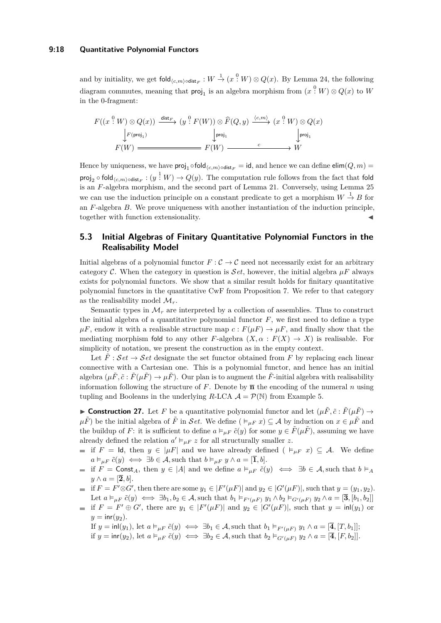### **9:18 Quantitative Polynomial Functors**

and by initiality, we get  $\text{fold}_{\langle c,m\rangle\circ\text{dist}_F}: W \stackrel{1}{\to} (x^0; W) \otimes Q(x)$ . By Lemma [24,](#page-16-1) the following  $\text{diagram commutes, meaning that } \text{proj}_1 \text{ is an algebra morphism from } (x \overset{0}{:} W) \otimes Q(x) \text{ to } W$ in the 0-fragment:

$$
F((x \stackrel{0}{\cdot} W) \otimes Q(x)) \xrightarrow{\text{dist}_F} (y \stackrel{0}{\cdot} F(W)) \otimes \widehat{F}(Q, y) \xrightarrow{\langle c, m \rangle} (x \stackrel{0}{\cdot} W) \otimes Q(x)
$$
  
\n
$$
\downarrow_{\text{proj}_1} F(W) \xrightarrow{\qquad \qquad \downarrow_{\text{proj}_1}} F(W) \xrightarrow{\qquad \qquad c} W
$$

Hence by uniqueness, we have  $proj_1 \circ fold_{\langle c,m \rangle \circ dist_F} = id$ , and hence we can define  $elim(Q, m) =$  $\textsf{proj}_2 \circ \textsf{fold}_{\langle c,m\rangle \circ \textsf{dist}_F} : (y^{-1} \ W) \to Q(y).$  The computation rule follows from the fact that fold is an *F*-algebra morphism, and the second part of Lemma [21.](#page-15-0) Conversely, using Lemma [25](#page-16-2) we can use the induction principle on a constant predicate to get a morphism  $W \stackrel{1}{\rightarrow} B$  for an *F*-algebra *B*. We prove uniqueness with another instantiation of the induction principle, together with function extensionality.

# **5.3 Initial Algebras of Finitary Quantitative Polynomial Functors in the Realisability Model**

Initial algebras of a polynomial functor  $F : C \to C$  need not necessarily exist for an arbitrary category C. When the category in question is  $\mathcal{S}et$ , however, the initial algebra  $\mu F$  always exists for polynomial functors. We show that a similar result holds for finitary quantitative polynomial functors in the quantitative CwF from Proposition [7.](#page-7-1) We refer to that category as the realisability model  $\mathcal{M}_r$ .

Semantic types in  $\mathcal{M}_r$  are interpreted by a collection of assemblies. Thus to construct the initial algebra of a quantitative polynomial functor  $F$ , we first need to define a type  $\mu F$ , endow it with a realisable structure map  $c : F(\mu F) \to \mu F$ , and finally show that the mediating morphism fold to any other *F*-algebra  $(X, \alpha : F(X) \to X)$  is realisable. For simplicity of notation, we present the construction as in the empty context.

Let  $\ddot{F}$  :  $\mathcal{S}et \rightarrow \mathcal{S}et$  designate the set functor obtained from F by replacing each linear connective with a Cartesian one. This is a polynomial functor, and hence has an initial algebra  $(\mu \tilde{F}, \tilde{c} : \tilde{F}(\mu \tilde{F}) \to \mu \tilde{F})$ . Our plan is to augment the  $\tilde{F}$ -initial algebra with realisability information following the structure of  $F$ . Denote by  $\bar{\mathbf{n}}$  the encoding of the numeral *n* using tupling and Booleans in the underlying *R*-LCA  $\mathcal{A} = \mathcal{P}(\mathbb{N})$  from Example [5.](#page-7-0)

<span id="page-17-0"></span>**Construction 27.** Let F be a quantitative polynomial functor and let  $(\mu \tilde{F}, \tilde{c} : \tilde{F}(\mu \tilde{F}) \rightarrow$  $\mu \tilde{F}$  be the initial algebra of  $\tilde{F}$  in Set. We define ( $\models_{\mu F} x$ )  $\subseteq A$  by induction on  $x \in \mu \tilde{F}$  and the buildup of *F*: it is sufficient to define  $a \models_{\mu F} \tilde{c}(y)$  for some  $y \in \tilde{F}(\mu \tilde{F})$ , assuming we have already defined the relation  $a' \vDash_{\mu F} z$  for all structurally smaller *z*.

- $\blacksquare$  if *F* = Id, then *y* ∈ |*µF*| and we have already defined ( $\models_{\mu}$  *x*) ⊆ A. We define  $a \vDash_{\mu F} \tilde{c}(y) \iff \exists b \in \mathcal{A}$ , such that  $b \vDash_{\mu F} y \land a = [\overline{1}, b].$
- $\blacksquare$  if *F* = Const<sub>*A*</sub>, then *y* ∈ |*A*| and we define  $a \models_{\mu} F \tilde{c}(y) \iff \exists b \in A$ , such that  $b \models_A f$  $y \wedge a = [\overline{2}, b].$
- if  $F = F' \otimes G'$ , then there are some  $y_1 \in |F'(\mu F)|$  and  $y_2 \in |G'(\mu F)|$ , such that  $y = (y_1, y_2)$ . Let  $a \vDash_{\mu F} \tilde{c}(y) \iff \exists b_1, b_2 \in \mathcal{A}$ , such that  $b_1 \vDash_{F'( \mu F)} y_1 \wedge b_2 \vDash_{G'( \mu F)} y_2 \wedge a = [\overline{3}, [b_1, b_2]]$
- if  $F = F' \oplus G'$ , there are  $y_1 \in |F'(\mu F)|$  and  $y_2 \in |G'(\mu F)|$ , such that  $y = \text{inl}(y_1)$  or  $y = \text{inr}(y_2)$ .

If  $y = \text{inl}(y_1)$ , let  $a \models_{\mu} F \tilde{c}(y) \iff \exists b_1 \in \mathcal{A}$ , such that  $b_1 \models_{F'( \mu F)} y_1 \land a = [\overline{4}, [T, b_1]]$ ; if  $y = \text{inr}(y_2)$ , let  $a \vDash_{\mu F} \tilde{c}(y) \iff \exists b_2 \in \mathcal{A}$ , such that  $b_2 \vDash_{G'( \mu F)} y_2 \land a = [\overline{4}, [F, b_2]]$ .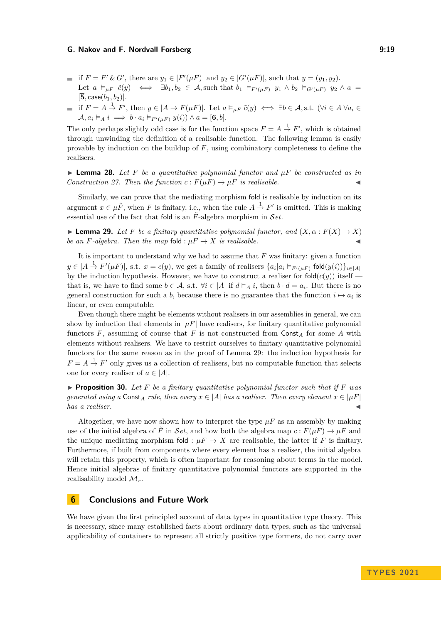- if  $F = F' \& G'$ , there are  $y_1 \in |F'(\mu F)|$  and  $y_2 \in |G'(\mu F)|$ , such that  $y = (y_1, y_2)$ . Let  $a \models_{\mu F} \tilde{c}(y) \iff \exists b_1, b_2 \in \mathcal{A}$ , such that  $b_1 \models_{F'( \mu F)} y_1 \wedge b_2 \models_{G'( \mu F)} y_2 \wedge a =$  $[\bar{5}, \text{case}(b_1, b_2)].$
- if  $F = A \stackrel{1}{\rightarrow} F'$ , then  $y \in |A \rightarrow F(\mu F)|$ . Let  $a \models_{\mu F} \tilde{c}(y) \iff \exists b \in \mathcal{A}, \text{s.t. } (\forall i \in A \ \forall a_i \in \mathcal{A})$  $\mathcal{A}, a_i \vDash_A i \implies b \cdot a_i \vDash_{F'( \mu F)} y(i) \wedge a = [\overline{6}, b].$

The only perhaps slightly odd case is for the function space  $F = A \stackrel{1}{\rightarrow} F'$ , which is obtained through unwinding the definition of a realisable function. The following lemma is easily provable by induction on the buildup of *F*, using combinatory completeness to define the realisers.

 $\blacktriangleright$  **Lemma 28.** Let F be a quantitative polynomial functor and  $\mu$ F be constructed as in *Construction* [27.](#page-17-0) Then the function  $c: F(\mu) \to \mu$  *is realisable.* 

Similarly, we can prove that the mediating morphism fold is realisable by induction on its argument  $x \in \mu \tilde{F}$ , when *F* is finitary, i.e., when the rule  $A \stackrel{1}{\rightarrow} F'$  is omitted. This is making essential use of the fact that fold is an  $\tilde{F}$ -algebra morphism in Set.

<span id="page-18-0"></span> $\blacktriangleright$  **Lemma 29.** Let F be a finitary quantitative polynomial functor, and  $(X, \alpha : F(X) \to X)$ *be an F-algebra. Then the map* fold :  $\mu F \rightarrow X$  *is realisable.* 

It is important to understand why we had to assume that *F* was finitary: given a function  $y \in (A \xrightarrow{1} F'(\mu F))$ , s.t.  $x = c(y)$ , we get a family of realisers  $\{a_i | a_i \vDash_{F'(\mu F)} \text{fold}(y(i))\}_{i \in [A]}$ by the induction hypothesis. However, we have to construct a realiser for  $\text{fold}(c(y))$  itself that is, we have to find some  $b \in \mathcal{A}$ , s.t.  $\forall i \in |\mathcal{A}|$  if  $d \models_A i$ , then  $b \cdot d = a_i$ . But there is no general construction for such a *b*, because there is no guarantee that the function  $i \mapsto a_i$  is linear, or even computable.

Even though there might be elements without realisers in our assemblies in general, we can show by induction that elements in  $|\mu F|$  have realisers, for finitary quantitative polynomial functors  $F$ , assuming of course that  $F$  is not constructed from  $Const_A$  for some  $A$  with elements without realisers. We have to restrict ourselves to finitary quantitative polynomial functors for the same reason as in the proof of Lemma [29:](#page-18-0) the induction hypothesis for  $F = A \stackrel{1}{\rightarrow} F'$  only gives us a collection of realisers, but no computable function that selects one for every realiser of  $a \in |A|$ .

▶ **Proposition 30.** *Let F be a finitary quantitative polynomial functor such that if F was generated using a* Const<sub>A</sub> *rule, then every*  $x \in |A|$  *has a realiser. Then every element*  $x \in |\mu F|$  $has a realiser.$ 

Altogether, we have now shown how to interpret the type  $\mu F$  as an assembly by making use of the initial algebra of  $\tilde{F}$  in Set, and how both the algebra map  $c: F(\mu F) \to \mu F$  and the unique mediating morphism fold :  $\mu F \to X$  are realisable, the latter if *F* is finitary. Furthermore, if built from components where every element has a realiser, the initial algebra will retain this property, which is often important for reasoning about terms in the model. Hence initial algebras of finitary quantitative polynomial functors are supported in the realisability model  $\mathcal{M}_r$ .

# **6 Conclusions and Future Work**

We have given the first principled account of data types in quantitative type theory. This is necessary, since many established facts about ordinary data types, such as the universal applicability of containers to represent all strictly positive type formers, do not carry over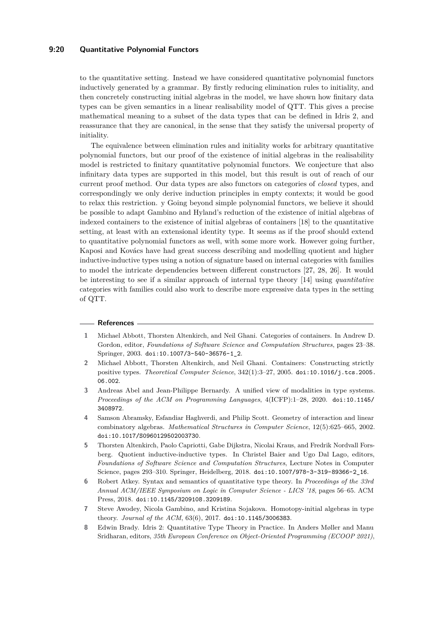# **9:20 Quantitative Polynomial Functors**

to the quantitative setting. Instead we have considered quantitative polynomial functors inductively generated by a grammar. By firstly reducing elimination rules to initiality, and then concretely constructing initial algebras in the model, we have shown how finitary data types can be given semantics in a linear realisability model of QTT. This gives a precise mathematical meaning to a subset of the data types that can be defined in Idris 2, and reassurance that they are canonical, in the sense that they satisfy the universal property of initiality.

The equivalence between elimination rules and initiality works for arbitrary quantitative polynomial functors, but our proof of the existence of initial algebras in the realisability model is restricted to finitary quantitative polynomial functors. We conjecture that also infinitary data types are supported in this model, but this result is out of reach of our current proof method. Our data types are also functors on categories of *closed* types, and correspondingly we only derive induction principles in empty contexts; it would be good to relax this restriction. y Going beyond simple polynomial functors, we believe it should be possible to adapt Gambino and Hyland's reduction of the existence of initial algebras of indexed containers to the existence of initial algebras of containers [\[18\]](#page-20-5) to the quantitative setting, at least with an extensional identity type. It seems as if the proof should extend to quantitative polynomial functors as well, with some more work. However going further, Kaposi and Kovács have had great success describing and modelling quotient and higher inductive-inductive types using a notion of signature based on internal categories with families to model the intricate dependencies between different constructors [\[27,](#page-21-10) [28,](#page-21-11) [26\]](#page-21-12). It would be interesting to see if a similar approach of internal type theory [\[14\]](#page-20-12) using *quantitative* categories with families could also work to describe more expressive data types in the setting of QTT.

#### **References**

- <span id="page-19-3"></span>**1** Michael Abbott, Thorsten Altenkirch, and Neil Ghani. Categories of containers. In Andrew D. Gordon, editor, *Foundations of Software Science and Computation Structures*, pages 23–38. Springer, 2003. [doi:10.1007/3-540-36576-1\\_2](http://dx.doi.org/10.1007/3-540-36576-1_2).
- <span id="page-19-4"></span>**2** Michael Abbott, Thorsten Altenkirch, and Neil Ghani. Containers: Constructing strictly positive types. *Theoretical Computer Science*, 342(1):3–27, 2005. [doi:10.1016/j.tcs.2005.](http://dx.doi.org/10.1016/j.tcs.2005.06.002) [06.002](http://dx.doi.org/10.1016/j.tcs.2005.06.002).
- <span id="page-19-6"></span>**3** Andreas Abel and Jean-Philippe Bernardy. A unified view of modalities in type systems. *Proceedings of the ACM on Programming Languages*, 4(ICFP):1–28, 2020. [doi:10.1145/](http://dx.doi.org/10.1145/3408972) [3408972](http://dx.doi.org/10.1145/3408972).
- <span id="page-19-7"></span>**4** Samson Abramsky, Esfandiar Haghverdi, and Philip Scott. Geometry of interaction and linear combinatory algebras. *Mathematical Structures in Computer Science*, 12(5):625–665, 2002. [doi:10.1017/S0960129502003730](http://dx.doi.org/10.1017/S0960129502003730).
- <span id="page-19-0"></span>**5** Thorsten Altenkirch, Paolo Capriotti, Gabe Dijkstra, Nicolai Kraus, and Fredrik Nordvall Forsberg. Quotient inductive-inductive types. In Christel Baier and Ugo Dal Lago, editors, *Foundations of Software Science and Computation Structures*, Lecture Notes in Computer Science, pages 293–310. Springer, Heidelberg, 2018. [doi:10.1007/978-3-319-89366-2\\_16](http://dx.doi.org/10.1007/978-3-319-89366-2_16).
- <span id="page-19-1"></span>**6** Robert Atkey. Syntax and semantics of quantitative type theory. In *Proceedings of the 33rd Annual ACM/IEEE Symposium on Logic in Computer Science - LICS '18*, pages 56–65. ACM Press, 2018. [doi:10.1145/3209108.3209189](http://dx.doi.org/10.1145/3209108.3209189).
- <span id="page-19-5"></span>**7** Steve Awodey, Nicola Gambino, and Kristina Sojakova. Homotopy-initial algebras in type theory. *Journal of the ACM*, 63(6), 2017. [doi:10.1145/3006383](http://dx.doi.org/10.1145/3006383).
- <span id="page-19-2"></span>**8** Edwin Brady. Idris 2: Quantitative Type Theory in Practice. In Anders Møller and Manu Sridharan, editors, *35th European Conference on Object-Oriented Programming (ECOOP 2021)*,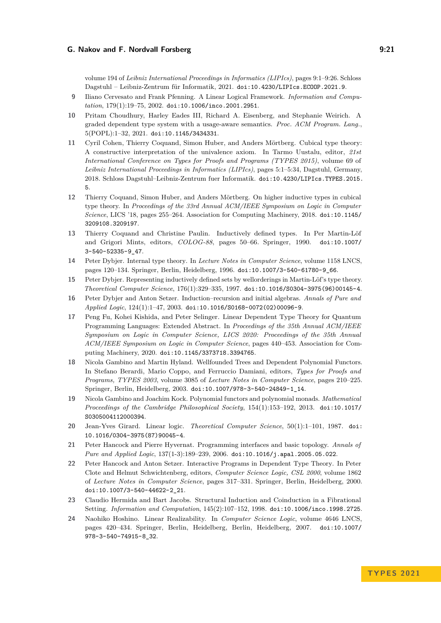volume 194 of *Leibniz International Proceedings in Informatics (LIPIcs)*, pages 9:1–9:26. Schloss Dagstuhl – Leibniz-Zentrum für Informatik, 2021. [doi:10.4230/LIPIcs.ECOOP.2021.9](http://dx.doi.org/10.4230/LIPIcs.ECOOP.2021.9).

- <span id="page-20-9"></span>**9** Iliano Cervesato and Frank Pfenning. A Linear Logical Framework. *Information and Computation*, 179(1):19–75, 2002. [doi:10.1006/inco.2001.2951](http://dx.doi.org/10.1006/inco.2001.2951).
- <span id="page-20-11"></span>**10** Pritam Choudhury, Harley Eades III, Richard A. Eisenberg, and Stephanie Weirich. A graded dependent type system with a usage-aware semantics. *Proc. ACM Program. Lang.*, 5(POPL):1–32, 2021. [doi:10.1145/3434331](http://dx.doi.org/10.1145/3434331).
- <span id="page-20-1"></span>**11** Cyril Cohen, Thierry Coquand, Simon Huber, and Anders Mörtberg. Cubical type theory: A constructive interpretation of the univalence axiom. In Tarmo Uustalu, editor, *21st International Conference on Types for Proofs and Programs (TYPES 2015)*, volume 69 of *Leibniz International Proceedings in Informatics (LIPIcs)*, pages 5:1–5:34, Dagstuhl, Germany, 2018. Schloss Dagstuhl–Leibniz-Zentrum fuer Informatik. [doi:10.4230/LIPIcs.TYPES.2015.](http://dx.doi.org/10.4230/LIPIcs.TYPES.2015.5) [5](http://dx.doi.org/10.4230/LIPIcs.TYPES.2015.5).
- <span id="page-20-2"></span>**12** Thierry Coquand, Simon Huber, and Anders Mörtberg. On higher inductive types in cubical type theory. In *Proceedings of the 33rd Annual ACM/IEEE Symposium on Logic in Computer Science*, LICS '18, pages 255–264. Association for Computing Machinery, 2018. [doi:10.1145/](http://dx.doi.org/10.1145/3209108.3209197) [3209108.3209197](http://dx.doi.org/10.1145/3209108.3209197).
- <span id="page-20-0"></span>**13** Thierry Coquand and Christine Paulin. Inductively defined types. In Per Martin-Löf and Grigori Mints, editors, *COLOG-88*, pages 50–66. Springer, 1990. [doi:10.1007/](http://dx.doi.org/10.1007/3-540-52335-9_47) [3-540-52335-9\\_47](http://dx.doi.org/10.1007/3-540-52335-9_47).
- <span id="page-20-12"></span>**14** Peter Dybjer. Internal type theory. In *Lecture Notes in Computer Science*, volume 1158 LNCS, pages 120–134. Springer, Berlin, Heidelberg, 1996. [doi:10.1007/3-540-61780-9\\_66](http://dx.doi.org/10.1007/3-540-61780-9_66).
- <span id="page-20-7"></span>**15** Peter Dybjer. Representing inductively defined sets by wellorderings in Martin-Löf's type theory. *Theoretical Computer Science*, 176(1):329–335, 1997. [doi:10.1016/S0304-3975\(96\)00145-4](http://dx.doi.org/10.1016/S0304-3975(96)00145-4).
- <span id="page-20-15"></span>**16** Peter Dybjer and Anton Setzer. Induction–recursion and initial algebras. *Annals of Pure and Applied Logic*, 124(1):1–47, 2003. [doi:10.1016/S0168-0072\(02\)00096-9](http://dx.doi.org/10.1016/S0168-0072(02)00096-9).
- <span id="page-20-10"></span>**17** Peng Fu, Kohei Kishida, and Peter Selinger. Linear Dependent Type Theory for Quantum Programming Languages: Extended Abstract. In *Proceedings of the 35th Annual ACM/IEEE Symposium on Logic in Computer Science, LICS 2020: Proceedings of the 35th Annual ACM/IEEE Symposium on Logic in Computer Science*, pages 440–453. Association for Computing Machinery, 2020. [doi:10.1145/3373718.3394765](http://dx.doi.org/10.1145/3373718.3394765).
- <span id="page-20-5"></span>**18** Nicola Gambino and Martin Hyland. Wellfounded Trees and Dependent Polynomial Functors. In Stefano Berardi, Mario Coppo, and Ferruccio Damiani, editors, *Types for Proofs and Programs, TYPES 2003*, volume 3085 of *Lecture Notes in Computer Science*, pages 210–225. Springer, Berlin, Heidelberg, 2003. [doi:10.1007/978-3-540-24849-1\\_14](http://dx.doi.org/10.1007/978-3-540-24849-1_14).
- <span id="page-20-6"></span>**19** Nicola Gambino and Joachim Kock. Polynomial functors and polynomial monads. *Mathematical Proceedings of the Cambridge Philosophical Society*, 154(1):153–192, 2013. [doi:10.1017/](http://dx.doi.org/10.1017/S0305004112000394) [S0305004112000394](http://dx.doi.org/10.1017/S0305004112000394).
- <span id="page-20-3"></span>**20** Jean-Yves Girard. Linear logic. *Theoretical Computer Science*, 50(1):1–101, 1987. [doi:](http://dx.doi.org/10.1016/0304-3975(87)90045-4) [10.1016/0304-3975\(87\)90045-4](http://dx.doi.org/10.1016/0304-3975(87)90045-4).
- <span id="page-20-14"></span>**21** Peter Hancock and Pierre Hyvernat. Programming interfaces and basic topology. *Annals of Pure and Applied Logic*, 137(1-3):189–239, 2006. [doi:10.1016/j.apal.2005.05.022](http://dx.doi.org/10.1016/j.apal.2005.05.022).
- <span id="page-20-4"></span>**22** Peter Hancock and Anton Setzer. Interactive Programs in Dependent Type Theory. In Peter Clote and Helmut Schwichtenberg, editors, *Computer Science Logic, CSL 2000*, volume 1862 of *Lecture Notes in Computer Science*, pages 317–331. Springer, Berlin, Heidelberg, 2000. [doi:10.1007/3-540-44622-2\\_21](http://dx.doi.org/10.1007/3-540-44622-2_21).
- <span id="page-20-8"></span>**23** Claudio Hermida and Bart Jacobs. Structural Induction and Coinduction in a Fibrational Setting. *Information and Computation*, 145(2):107–152, 1998. [doi:10.1006/inco.1998.2725](http://dx.doi.org/10.1006/inco.1998.2725).
- <span id="page-20-13"></span>**24** Naohiko Hoshino. Linear Realizability. In *Computer Science Logic*, volume 4646 LNCS, pages 420–434. Springer, Berlin, Heidelberg, Berlin, Heidelberg, 2007. [doi:10.1007/](http://dx.doi.org/10.1007/978-3-540-74915-8_32) [978-3-540-74915-8\\_32](http://dx.doi.org/10.1007/978-3-540-74915-8_32).